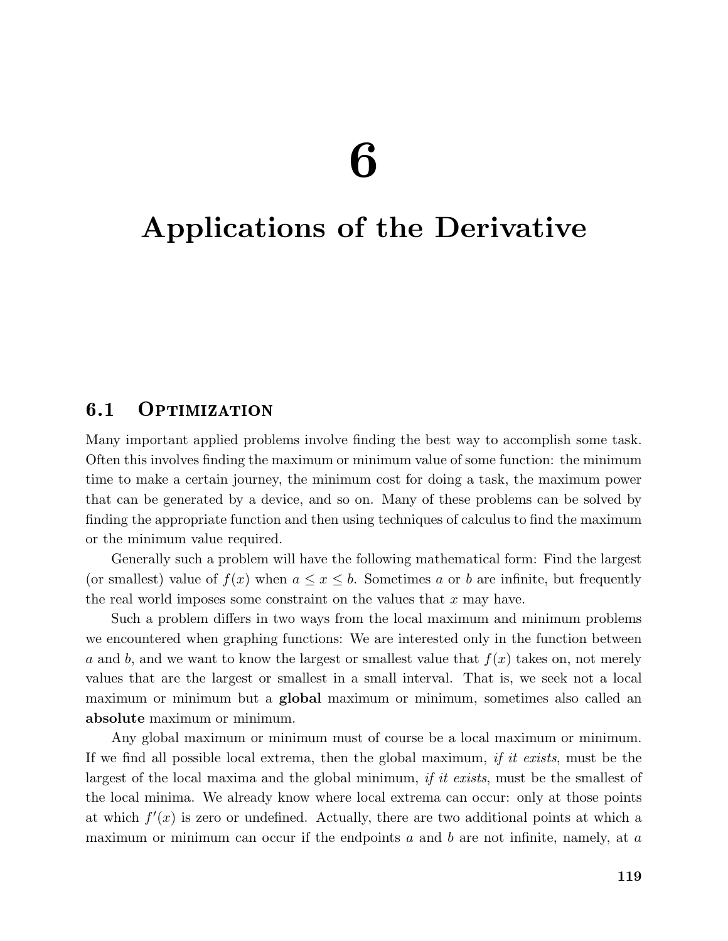# Applications of the Derivative

# 6.1 OPTIMIZATION

Many important applied problems involve finding the best way to accomplish some task. Often this involves finding the maximum or minimum value of some function: the minimum time to make a certain journey, the minimum cost for doing a task, the maximum power that can be generated by a device, and so on. Many of these problems can be solved by finding the appropriate function and then using techniques of calculus to find the maximum or the minimum value required.

Generally such a problem will have the following mathematical form: Find the largest (or smallest) value of  $f(x)$  when  $a \leq x \leq b$ . Sometimes a or b are infinite, but frequently the real world imposes some constraint on the values that  $x$  may have.

Such a problem differs in two ways from the local maximum and minimum problems we encountered when graphing functions: We are interested only in the function between a and b, and we want to know the largest or smallest value that  $f(x)$  takes on, not merely values that are the largest or smallest in a small interval. That is, we seek not a local maximum or minimum but a **global** maximum or minimum, sometimes also called an absolute maximum or minimum.

Any global maximum or minimum must of course be a local maximum or minimum. If we find all possible local extrema, then the global maximum, if it exists, must be the largest of the local maxima and the global minimum, *if it exists*, must be the smallest of the local minima. We already know where local extrema can occur: only at those points at which  $f'(x)$  is zero or undefined. Actually, there are two additional points at which a maximum or minimum can occur if the endpoints  $a$  and  $b$  are not infinite, namely, at  $a$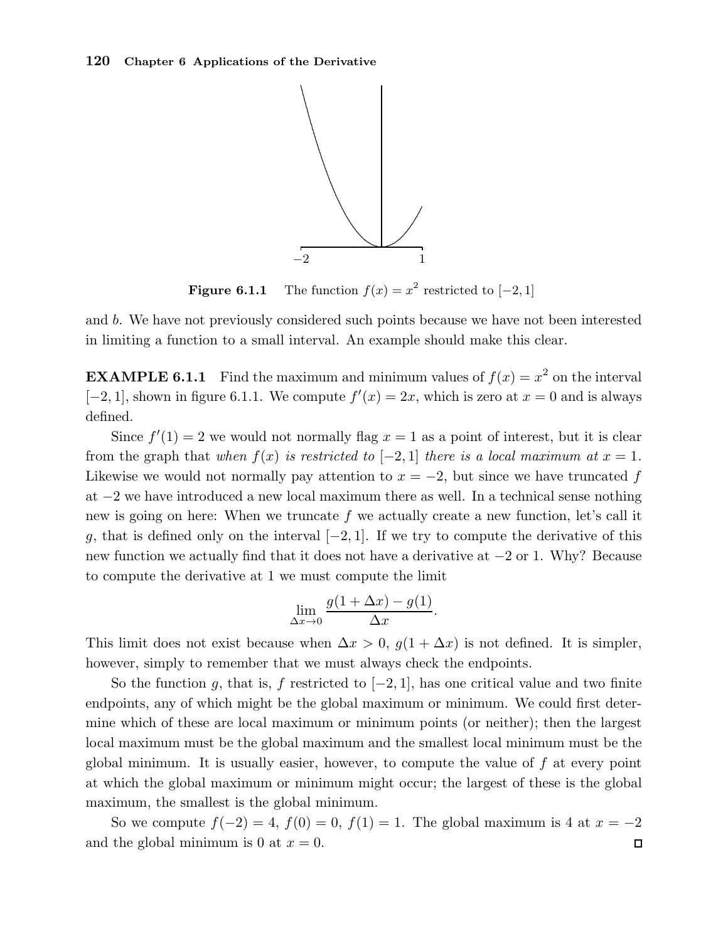

**Figure 6.1.1** The function  $f(x) = x^2$  restricted to  $[-2, 1]$ 

and b. We have not previously considered such points because we have not been interested in limiting a function to a small interval. An example should make this clear.

**EXAMPLE 6.1.1** Find the maximum and minimum values of  $f(x) = x^2$  on the interval [-2, 1], shown in figure 6.1.1. We compute  $f'(x) = 2x$ , which is zero at  $x = 0$  and is always defined.

Since  $f'(1) = 2$  we would not normally flag  $x = 1$  as a point of interest, but it is clear from the graph that when  $f(x)$  is restricted to  $[-2, 1]$  there is a local maximum at  $x = 1$ . Likewise we would not normally pay attention to  $x = -2$ , but since we have truncated f at −2 we have introduced a new local maximum there as well. In a technical sense nothing new is going on here: When we truncate f we actually create a new function, let's call it g, that is defined only on the interval  $[-2, 1]$ . If we try to compute the derivative of this new function we actually find that it does not have a derivative at −2 or 1. Why? Because to compute the derivative at 1 we must compute the limit

$$
\lim_{\Delta x \to 0} \frac{g(1 + \Delta x) - g(1)}{\Delta x}.
$$

This limit does not exist because when  $\Delta x > 0$ ,  $g(1 + \Delta x)$  is not defined. It is simpler, however, simply to remember that we must always check the endpoints.

So the function g, that is, f restricted to  $[-2, 1]$ , has one critical value and two finite endpoints, any of which might be the global maximum or minimum. We could first determine which of these are local maximum or minimum points (or neither); then the largest local maximum must be the global maximum and the smallest local minimum must be the global minimum. It is usually easier, however, to compute the value of  $f$  at every point at which the global maximum or minimum might occur; the largest of these is the global maximum, the smallest is the global minimum.

So we compute  $f(-2) = 4$ ,  $f(0) = 0$ ,  $f(1) = 1$ . The global maximum is 4 at  $x = -2$ and the global minimum is 0 at  $x = 0$ .  $\Box$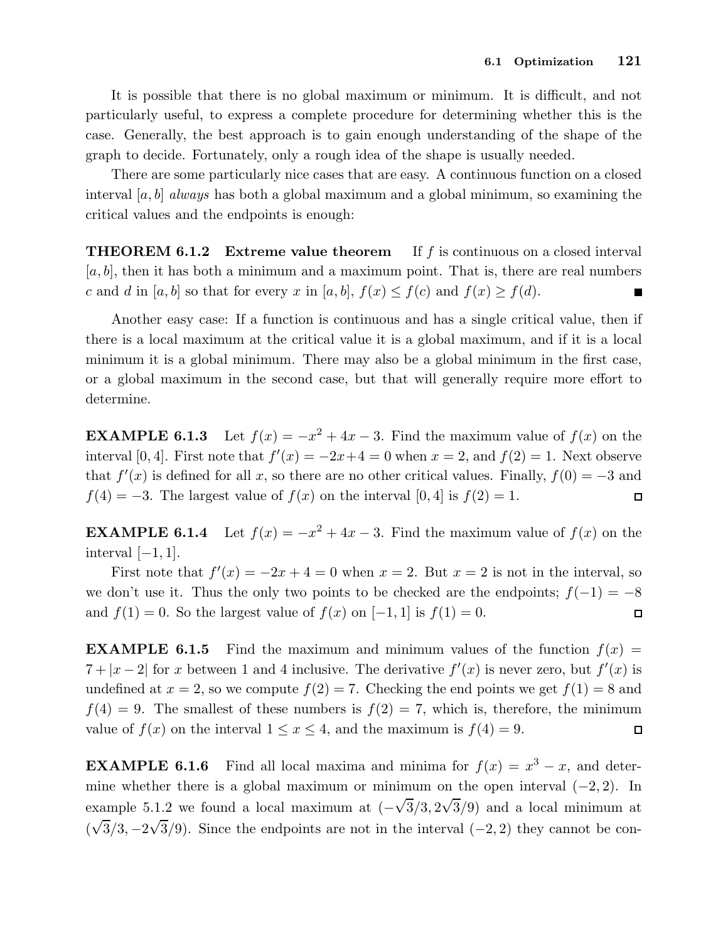It is possible that there is no global maximum or minimum. It is difficult, and not particularly useful, to express a complete procedure for determining whether this is the case. Generally, the best approach is to gain enough understanding of the shape of the graph to decide. Fortunately, only a rough idea of the shape is usually needed.

There are some particularly nice cases that are easy. A continuous function on a closed interval  $[a, b]$  always has both a global maximum and a global minimum, so examining the critical values and the endpoints is enough:

**THEOREM 6.1.2** Extreme value theorem If f is continuous on a closed interval  $[a, b]$ , then it has both a minimum and a maximum point. That is, there are real numbers c and d in [a, b] so that for every x in [a, b],  $f(x) \leq f(c)$  and  $f(x) \geq f(d)$ .

Another easy case: If a function is continuous and has a single critical value, then if there is a local maximum at the critical value it is a global maximum, and if it is a local minimum it is a global minimum. There may also be a global minimum in the first case, or a global maximum in the second case, but that will generally require more effort to determine.

**EXAMPLE 6.1.3** Let  $f(x) = -x^2 + 4x - 3$ . Find the maximum value of  $f(x)$  on the interval [0, 4]. First note that  $f'(x) = -2x+4 = 0$  when  $x = 2$ , and  $f(2) = 1$ . Next observe that  $f'(x)$  is defined for all x, so there are no other critical values. Finally,  $f(0) = -3$  and  $f(4) = -3$ . The largest value of  $f(x)$  on the interval [0, 4] is  $f(2) = 1$ .  $\Box$ 

**EXAMPLE 6.1.4** Let  $f(x) = -x^2 + 4x - 3$ . Find the maximum value of  $f(x)$  on the interval  $[-1, 1]$ .

First note that  $f'(x) = -2x + 4 = 0$  when  $x = 2$ . But  $x = 2$  is not in the interval, so we don't use it. Thus the only two points to be checked are the endpoints;  $f(-1) = -8$ and  $f(1) = 0$ . So the largest value of  $f(x)$  on  $[-1, 1]$  is  $f(1) = 0$ .  $\Box$ 

**EXAMPLE 6.1.5** Find the maximum and minimum values of the function  $f(x)$  =  $7 + |x - 2|$  for x between 1 and 4 inclusive. The derivative  $f'(x)$  is never zero, but  $f'(x)$  is undefined at  $x = 2$ , so we compute  $f(2) = 7$ . Checking the end points we get  $f(1) = 8$  and  $f(4) = 9$ . The smallest of these numbers is  $f(2) = 7$ , which is, therefore, the minimum value of  $f(x)$  on the interval  $1 \le x \le 4$ , and the maximum is  $f(4) = 9$ .  $\Box$ 

**EXAMPLE 6.1.6** Find all local maxima and minima for  $f(x) = x^3 - x$ , and determine whether there is a global maximum or minimum on the open interval  $(-2, 2)$ . In example 5.1.2 we found a local maximum at  $(-\sqrt{3}/3, 2\sqrt{3}/9)$  and a local minimum at  $(\sqrt{3}/3, -2\sqrt{3}/9)$ . Since the endpoints are not in the interval  $(-2, 2)$  they cannot be con-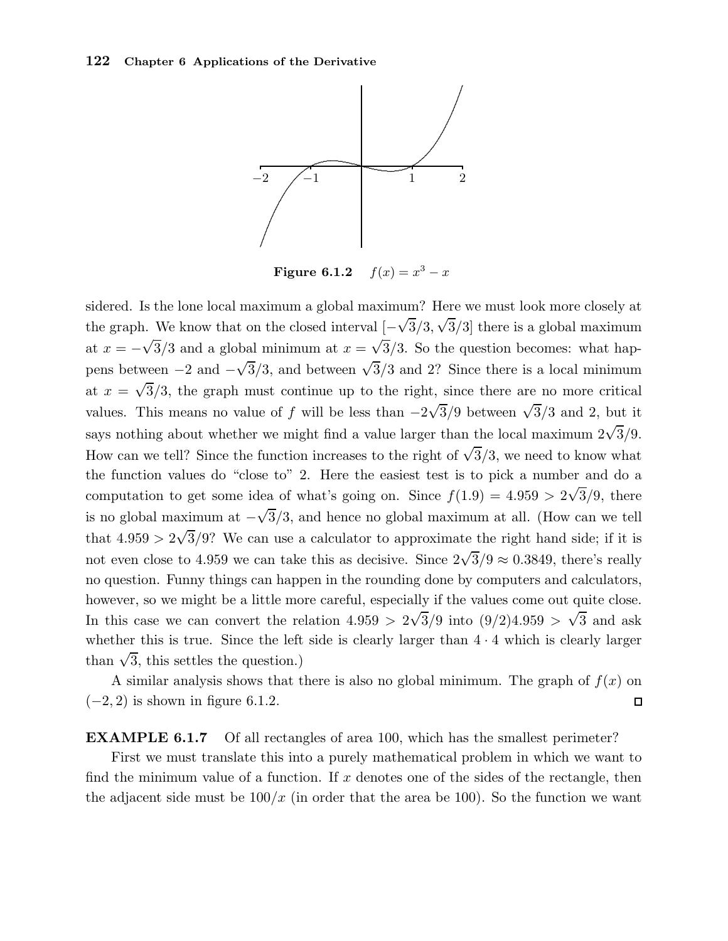

Figure  $6.1.2$  $f(x) = x^3 - x$ 

sidered. Is the lone local maximum a global maximum? Here we must look more closely at the graph. We know that on the closed interval  $\left[-\sqrt{3}/3, \sqrt{3}/3\right]$  there is a global maximum at  $x = -\sqrt{3}/3$  and a global minimum at  $x = \sqrt{3}/3$ . So the question becomes: what happens between  $-2$  and  $-\sqrt{3}/3$ , and between  $\sqrt{3}/3$  and 2? Since there is a local minimum at  $x = \sqrt{3}/3$ , the graph must continue up to the right, since there are no more critical values. This means no value of f will be less than  $-2\sqrt{3}/9$  between  $\sqrt{3}/3$  and 2, but it says nothing about whether we might find a value larger than the local maximum  $2\sqrt{3}/9$ . How can we tell? Since the function increases to the right of  $\sqrt{3}/3$ , we need to know what the function values do "close to" 2. Here the easiest test is to pick a number and do a computation to get some idea of what's going on. Since  $f(1.9) = 4.959 > 2\sqrt{3}/9$ , there is no global maximum at  $-\sqrt{3}/3$ , and hence no global maximum at all. (How can we tell that  $4.959 > 2\sqrt{3}/9$ ? We can use a calculator to approximate the right hand side; if it is not even close to 4.959 we can take this as decisive. Since  $2\sqrt{3}/9 \approx 0.3849$ , there's really no question. Funny things can happen in the rounding done by computers and calculators, however, so we might be a little more careful, especially if the values come out quite close. In this case we can convert the relation  $4.959 > 2\sqrt{3}/9$  into  $(9/2)4.959 > \sqrt{3}$  and ask whether this is true. Since the left side is clearly larger than  $4 \cdot 4$  which is clearly larger than  $\sqrt{3}$ , this settles the question.)

A similar analysis shows that there is also no global minimum. The graph of  $f(x)$  on  $(-2, 2)$  is shown in figure 6.1.2.  $\Box$ 

EXAMPLE 6.1.7 Of all rectangles of area 100, which has the smallest perimeter?

First we must translate this into a purely mathematical problem in which we want to find the minimum value of a function. If x denotes one of the sides of the rectangle, then the adjacent side must be  $100/x$  (in order that the area be 100). So the function we want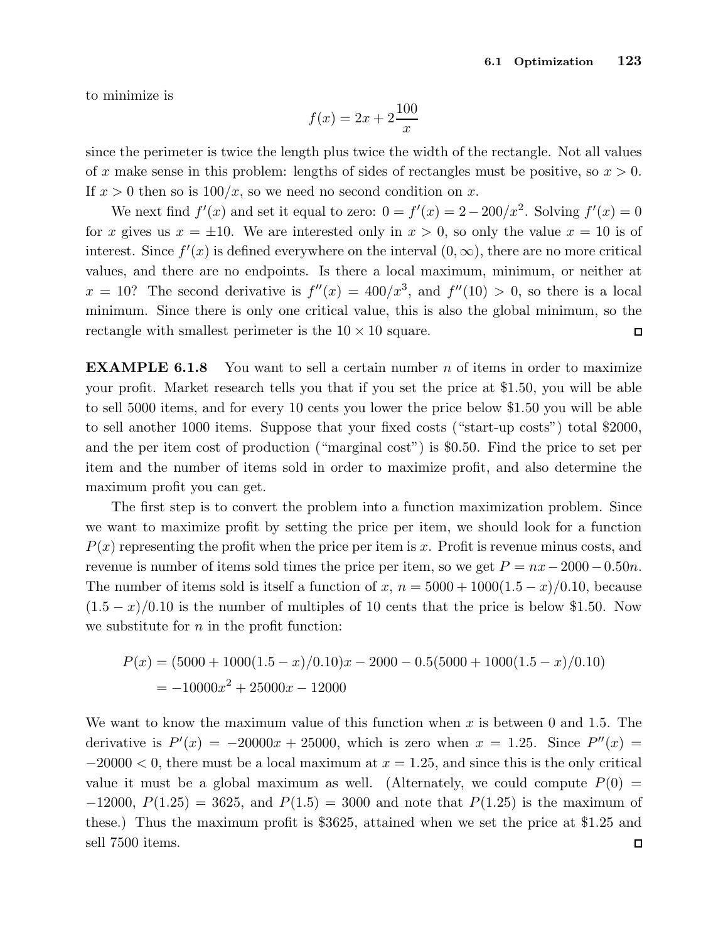to minimize is

$$
f(x) = 2x + 2\frac{100}{x}
$$

since the perimeter is twice the length plus twice the width of the rectangle. Not all values of x make sense in this problem: lengths of sides of rectangles must be positive, so  $x > 0$ . If  $x > 0$  then so is  $100/x$ , so we need no second condition on x.

We next find  $f'(x)$  and set it equal to zero:  $0 = f'(x) = 2 - 200/x^2$ . Solving  $f'(x) = 0$ for x gives us  $x = \pm 10$ . We are interested only in  $x > 0$ , so only the value  $x = 10$  is of interest. Since  $f'(x)$  is defined everywhere on the interval  $(0, \infty)$ , there are no more critical values, and there are no endpoints. Is there a local maximum, minimum, or neither at  $x = 10$ ? The second derivative is  $f''(x) = 400/x^3$ , and  $f''(10) > 0$ , so there is a local minimum. Since there is only one critical value, this is also the global minimum, so the rectangle with smallest perimeter is the  $10 \times 10$  square.  $\Box$ 

**EXAMPLE 6.1.8** You want to sell a certain number n of items in order to maximize your profit. Market research tells you that if you set the price at \$1.50, you will be able to sell 5000 items, and for every 10 cents you lower the price below \$1.50 you will be able to sell another 1000 items. Suppose that your fixed costs ("start-up costs") total \$2000, and the per item cost of production ("marginal cost") is \$0.50. Find the price to set per item and the number of items sold in order to maximize profit, and also determine the maximum profit you can get.

The first step is to convert the problem into a function maximization problem. Since we want to maximize profit by setting the price per item, we should look for a function  $P(x)$  representing the profit when the price per item is x. Profit is revenue minus costs, and revenue is number of items sold times the price per item, so we get  $P = nx - 2000 - 0.50n$ . The number of items sold is itself a function of x,  $n = 5000 + 1000(1.5 - x)/0.10$ , because  $(1.5 - x)/0.10$  is the number of multiples of 10 cents that the price is below \$1.50. Now we substitute for  $n$  in the profit function:

$$
P(x) = (5000 + 1000(1.5 - x)/0.10)x - 2000 - 0.5(5000 + 1000(1.5 - x)/0.10)
$$
  
= -10000x<sup>2</sup> + 25000x - 12000

We want to know the maximum value of this function when x is between 0 and 1.5. The derivative is  $P'(x) = -20000x + 25000$ , which is zero when  $x = 1.25$ . Since  $P''(x) =$  $-20000 < 0$ , there must be a local maximum at  $x = 1.25$ , and since this is the only critical value it must be a global maximum as well. (Alternately, we could compute  $P(0)$  =  $-12000, P(1.25) = 3625$ , and  $P(1.5) = 3000$  and note that  $P(1.25)$  is the maximum of these.) Thus the maximum profit is \$3625, attained when we set the price at \$1.25 and sell 7500 items. $\Box$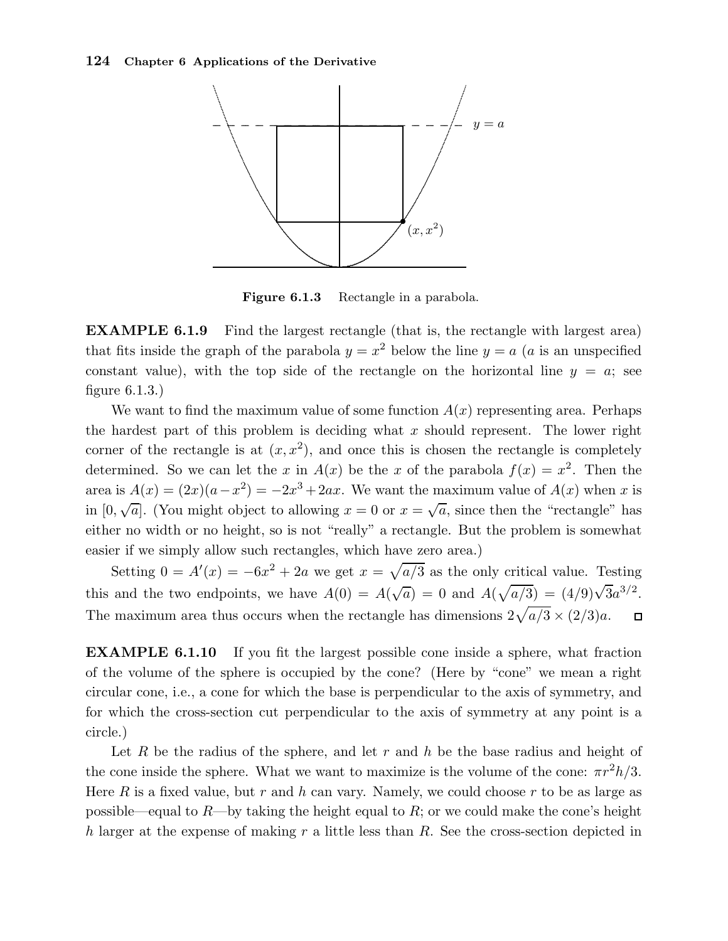

Figure 6.1.3 Rectangle in a parabola.

EXAMPLE 6.1.9 Find the largest rectangle (that is, the rectangle with largest area) that fits inside the graph of the parabola  $y = x^2$  below the line  $y = a$  (a is an unspecified constant value), with the top side of the rectangle on the horizontal line  $y = a$ ; see figure 6.1.3.)

We want to find the maximum value of some function  $A(x)$  representing area. Perhaps the hardest part of this problem is deciding what  $x$  should represent. The lower right corner of the rectangle is at  $(x, x^2)$ , and once this is chosen the rectangle is completely determined. So we can let the x in  $A(x)$  be the x of the parabola  $f(x) = x^2$ . Then the area is  $A(x) = (2x)(a - x^2) = -2x^3 + 2ax$ . We want the maximum value of  $A(x)$  when x is in  $[0, \sqrt{a}]$ . (You might object to allowing  $x = 0$  or  $x = \sqrt{a}$ , since then the "rectangle" has either no width or no height, so is not "really" a rectangle. But the problem is somewhat easier if we simply allow such rectangles, which have zero area.)

Setting  $0 = A'(x) = -6x^2 + 2a$  we get  $x = \sqrt{a/3}$  as the only critical value. Testing this and the two endpoints, we have  $A(0) = A(\sqrt{a}) = 0$  and  $A(\sqrt{a/3}) = (4/9)\sqrt{3}a^{3/2}$ . The maximum area thus occurs when the rectangle has dimensions  $2\sqrt{a/3} \times (2/3)a$ .  $\Box$ 

EXAMPLE 6.1.10 If you fit the largest possible cone inside a sphere, what fraction of the volume of the sphere is occupied by the cone? (Here by "cone" we mean a right circular cone, i.e., a cone for which the base is perpendicular to the axis of symmetry, and for which the cross-section cut perpendicular to the axis of symmetry at any point is a circle.)

Let R be the radius of the sphere, and let  $r$  and  $h$  be the base radius and height of the cone inside the sphere. What we want to maximize is the volume of the cone:  $\pi r^2 h/3$ . Here R is a fixed value, but r and h can vary. Namely, we could choose r to be as large as possible—equal to  $R$ —by taking the height equal to R; or we could make the cone's height h larger at the expense of making r a little less than R. See the cross-section depicted in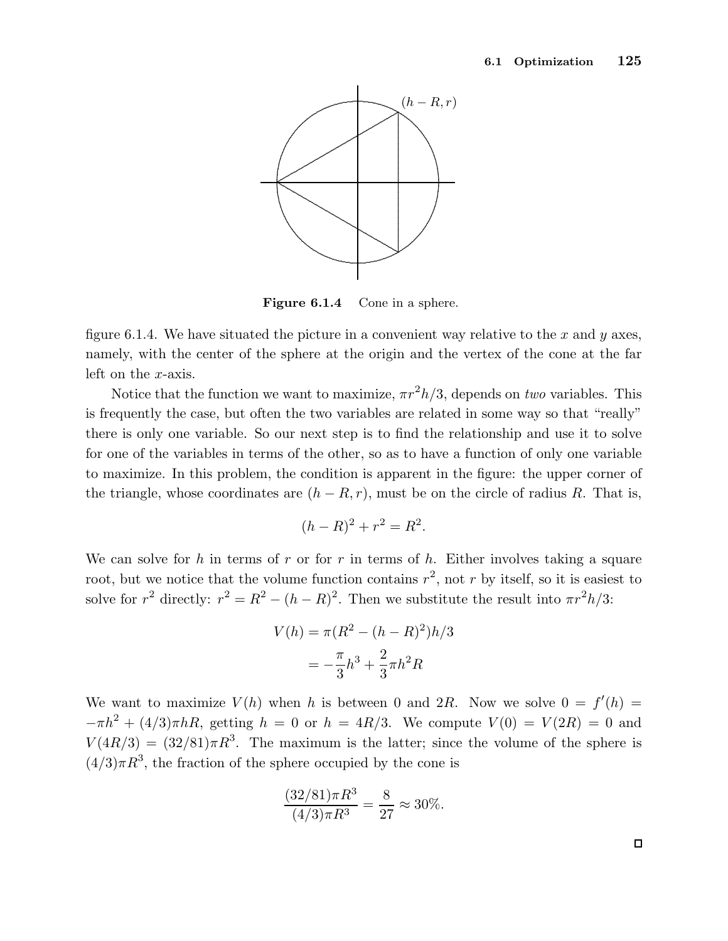

Figure 6.1.4 Cone in a sphere.

figure 6.1.4. We have situated the picture in a convenient way relative to the x and y axes, namely, with the center of the sphere at the origin and the vertex of the cone at the far left on the x-axis.

Notice that the function we want to maximize,  $\pi r^2 h/3$ , depends on two variables. This is frequently the case, but often the two variables are related in some way so that "really" there is only one variable. So our next step is to find the relationship and use it to solve for one of the variables in terms of the other, so as to have a function of only one variable to maximize. In this problem, the condition is apparent in the figure: the upper corner of the triangle, whose coordinates are  $(h - R, r)$ , must be on the circle of radius R. That is,

$$
(h - R)^2 + r^2 = R^2.
$$

We can solve for h in terms of r or for r in terms of h. Either involves taking a square root, but we notice that the volume function contains  $r^2$ , not r by itself, so it is easiest to solve for  $r^2$  directly:  $r^2 = R^2 - (h - R)^2$ . Then we substitute the result into  $\pi r^2 h/3$ :

$$
V(h) = \pi (R^2 - (h - R)^2)h/3
$$

$$
= -\frac{\pi}{3}h^3 + \frac{2}{3}\pi h^2 R
$$

We want to maximize  $V(h)$  when h is between 0 and 2R. Now we solve  $0 = f'(h) =$  $-\pi h^2 + (4/3)\pi hR$ , getting  $h = 0$  or  $h = 4R/3$ . We compute  $V(0) = V(2R) = 0$  and  $V(4R/3) = (32/81)\pi R^3$ . The maximum is the latter; since the volume of the sphere is  $(4/3)\pi R^3$ , the fraction of the sphere occupied by the cone is

$$
\frac{(32/81)\pi R^3}{(4/3)\pi R^3} = \frac{8}{27} \approx 30\%.
$$

 $\Box$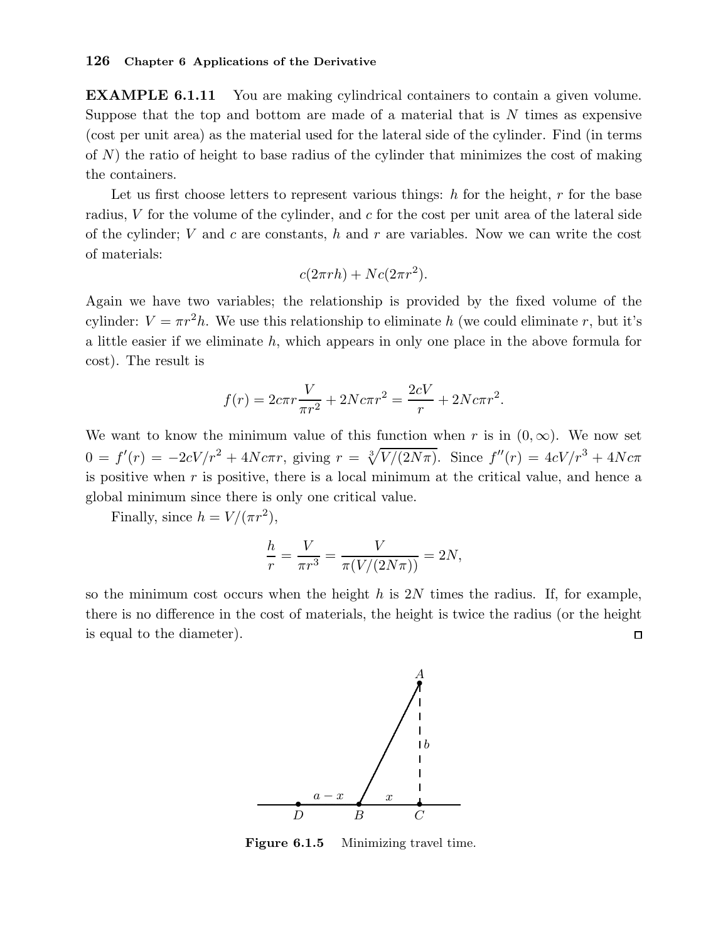**EXAMPLE 6.1.11** You are making cylindrical containers to contain a given volume. Suppose that the top and bottom are made of a material that is  $N$  times as expensive (cost per unit area) as the material used for the lateral side of the cylinder. Find (in terms of  $N$ ) the ratio of height to base radius of the cylinder that minimizes the cost of making the containers.

Let us first choose letters to represent various things: h for the height,  $r$  for the base radius,  $V$  for the volume of the cylinder, and  $c$  for the cost per unit area of the lateral side of the cylinder; V and c are constants, h and r are variables. Now we can write the cost of materials:

$$
c(2\pi rh) + Nc(2\pi r^2).
$$

Again we have two variables; the relationship is provided by the fixed volume of the cylinder:  $V = \pi r^2 h$ . We use this relationship to eliminate h (we could eliminate r, but it's a little easier if we eliminate  $h$ , which appears in only one place in the above formula for cost). The result is

$$
f(r) = 2c\pi r \frac{V}{\pi r^2} + 2N c\pi r^2 = \frac{2cV}{r} + 2N c\pi r^2.
$$

We want to know the minimum value of this function when r is in  $(0,\infty)$ . We now set  $0 = f'(r) = -2cV/r^2 + 4Nc\pi r$ , giving  $r = \sqrt[3]{V/(2N\pi)}$ . Since  $f''(r) = 4cV/r^3 + 4Nc\pi$ is positive when  $r$  is positive, there is a local minimum at the critical value, and hence a global minimum since there is only one critical value.

Finally, since  $h = V/(\pi r^2)$ ,

$$
\frac{h}{r} = \frac{V}{\pi r^3} = \frac{V}{\pi (V/(2N\pi))} = 2N,
$$

so the minimum cost occurs when the height h is  $2N$  times the radius. If, for example, there is no difference in the cost of materials, the height is twice the radius (or the height is equal to the diameter).  $\Box$ 



Figure 6.1.5 Minimizing travel time.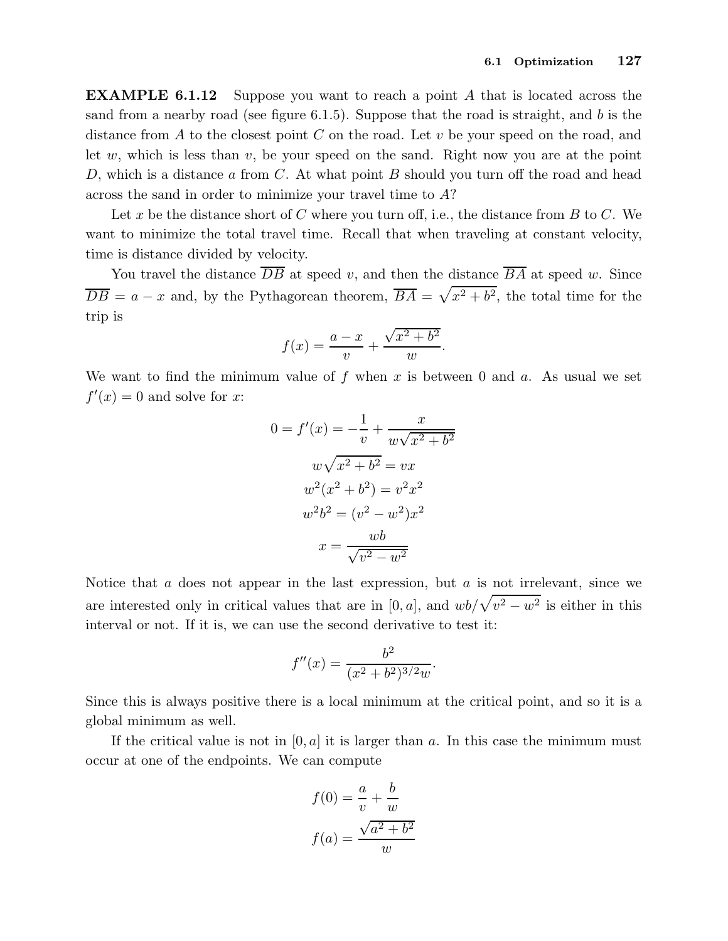EXAMPLE 6.1.12 Suppose you want to reach a point A that is located across the sand from a nearby road (see figure 6.1.5). Suppose that the road is straight, and b is the distance from A to the closest point C on the road. Let v be your speed on the road, and let w, which is less than v, be your speed on the sand. Right now you are at the point  $D$ , which is a distance  $a$  from  $C$ . At what point  $B$  should you turn off the road and head across the sand in order to minimize your travel time to A?

Let x be the distance short of C where you turn off, i.e., the distance from  $B$  to  $C$ . We want to minimize the total travel time. Recall that when traveling at constant velocity, time is distance divided by velocity.

You travel the distance  $\overline{DB}$  at speed v, and then the distance  $\overline{BA}$  at speed w. Since  $\overline{DB} = a - x$  and, by the Pythagorean theorem,  $\overline{BA} = \sqrt{x^2 + b^2}$ , the total time for the trip is

$$
f(x) = \frac{a - x}{v} + \frac{\sqrt{x^2 + b^2}}{w}.
$$

We want to find the minimum value of f when x is between 0 and a. As usual we set  $f'(x) = 0$  and solve for x:

$$
0 = f'(x) = -\frac{1}{v} + \frac{x}{w\sqrt{x^2 + b^2}}
$$

$$
w\sqrt{x^2 + b^2} = vx
$$

$$
w^2(x^2 + b^2) = v^2x^2
$$

$$
w^2b^2 = (v^2 - w^2)x^2
$$

$$
x = \frac{wb}{\sqrt{v^2 - w^2}}
$$

Notice that a does not appear in the last expression, but a is not irrelevant, since we are interested only in critical values that are in  $[0, a]$ , and  $wb/\sqrt{v^2 - w^2}$  is either in this interval or not. If it is, we can use the second derivative to test it:

$$
f''(x) = \frac{b^2}{(x^2 + b^2)^{3/2}w}.
$$

Since this is always positive there is a local minimum at the critical point, and so it is a global minimum as well.

If the critical value is not in  $[0, a]$  it is larger than a. In this case the minimum must occur at one of the endpoints. We can compute

$$
f(0) = \frac{a}{v} + \frac{b}{w}
$$

$$
f(a) = \frac{\sqrt{a^2 + b^2}}{w}
$$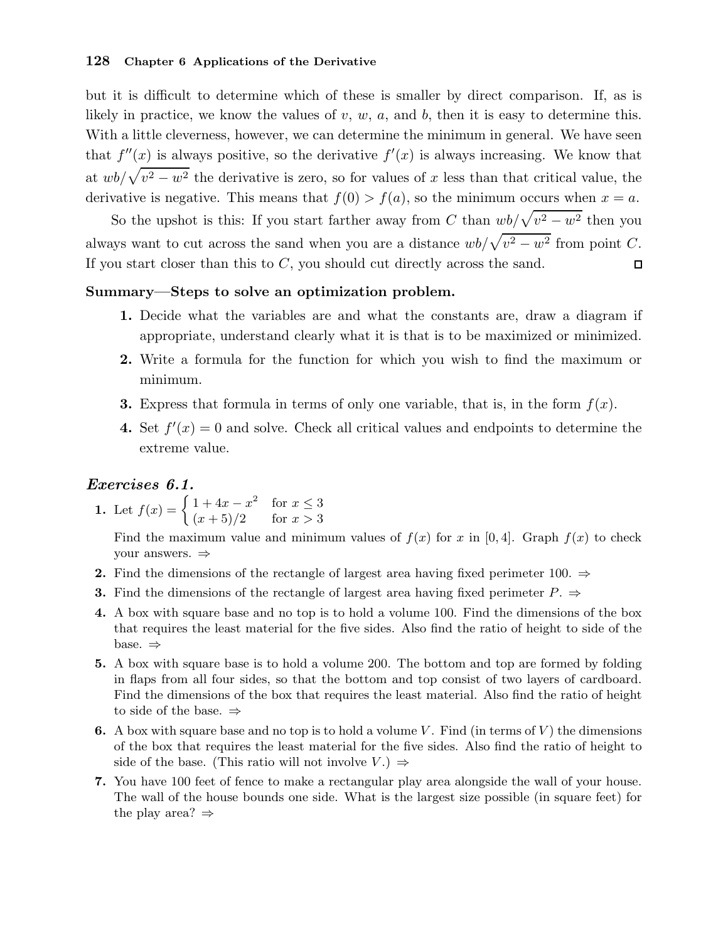but it is difficult to determine which of these is smaller by direct comparison. If, as is likely in practice, we know the values of  $v, w, a$ , and  $b$ , then it is easy to determine this. With a little cleverness, however, we can determine the minimum in general. We have seen that  $f''(x)$  is always positive, so the derivative  $f'(x)$  is always increasing. We know that at  $wb/\sqrt{v^2 - w^2}$  the derivative is zero, so for values of x less than that critical value, the derivative is negative. This means that  $f(0) > f(a)$ , so the minimum occurs when  $x = a$ .

So the upshot is this: If you start farther away from C than  $wb/\sqrt{v^2 - w^2}$  then you always want to cut across the sand when you are a distance  $wb/\sqrt{v^2 - w^2}$  from point C. If you start closer than this to  $C$ , you should cut directly across the sand.  $\Box$ 

### Summary—Steps to solve an optimization problem.

- 1. Decide what the variables are and what the constants are, draw a diagram if appropriate, understand clearly what it is that is to be maximized or minimized.
- 2. Write a formula for the function for which you wish to find the maximum or minimum.
- **3.** Express that formula in terms of only one variable, that is, in the form  $f(x)$ .
- 4. Set  $f'(x) = 0$  and solve. Check all critical values and endpoints to determine the extreme value.

# Exercises 6.1.

1. Let  $f(x) = \begin{cases} 1 + 4x - x^2 & \text{for } x \leq 3 \\ (x + 5) / 2 & \text{for } x > 3 \end{cases}$  $(x+5)/2$  for  $x > 3$ 

Find the maximum value and minimum values of  $f(x)$  for x in [0,4]. Graph  $f(x)$  to check your answers. ⇒

- 2. Find the dimensions of the rectangle of largest area having fixed perimeter 100.  $\Rightarrow$
- 3. Find the dimensions of the rectangle of largest area having fixed perimeter  $P \Rightarrow$
- 4. A box with square base and no top is to hold a volume 100. Find the dimensions of the box that requires the least material for the five sides. Also find the ratio of height to side of the base. ⇒
- 5. A box with square base is to hold a volume 200. The bottom and top are formed by folding in flaps from all four sides, so that the bottom and top consist of two layers of cardboard. Find the dimensions of the box that requires the least material. Also find the ratio of height to side of the base.  $\Rightarrow$
- 6. A box with square base and no top is to hold a volume V. Find (in terms of V) the dimensions of the box that requires the least material for the five sides. Also find the ratio of height to side of the base. (This ratio will not involve  $V$ .)  $\Rightarrow$
- 7. You have 100 feet of fence to make a rectangular play area alongside the wall of your house. The wall of the house bounds one side. What is the largest size possible (in square feet) for the play area?  $\Rightarrow$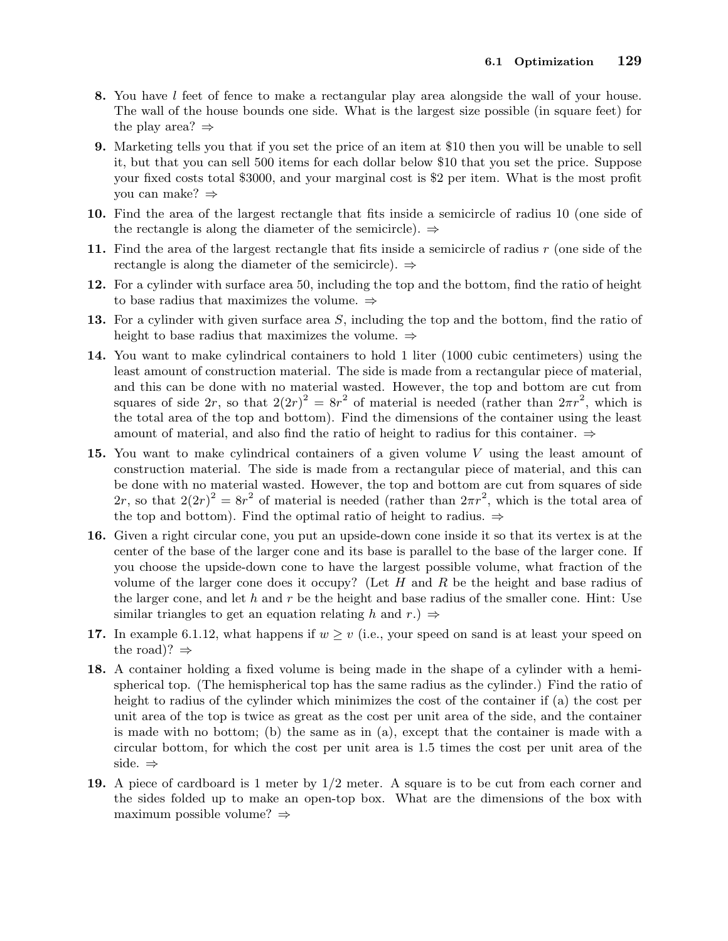- 8. You have l feet of fence to make a rectangular play area alongside the wall of your house. The wall of the house bounds one side. What is the largest size possible (in square feet) for the play area?  $\Rightarrow$
- 9. Marketing tells you that if you set the price of an item at \$10 then you will be unable to sell it, but that you can sell 500 items for each dollar below \$10 that you set the price. Suppose your fixed costs total \$3000, and your marginal cost is \$2 per item. What is the most profit you can make? ⇒
- 10. Find the area of the largest rectangle that fits inside a semicircle of radius 10 (one side of the rectangle is along the diameter of the semicircle).  $\Rightarrow$
- 11. Find the area of the largest rectangle that fits inside a semicircle of radius  $r$  (one side of the rectangle is along the diameter of the semicircle).  $\Rightarrow$
- 12. For a cylinder with surface area 50, including the top and the bottom, find the ratio of height to base radius that maximizes the volume. ⇒
- 13. For a cylinder with given surface area S, including the top and the bottom, find the ratio of height to base radius that maximizes the volume.  $\Rightarrow$
- 14. You want to make cylindrical containers to hold 1 liter (1000 cubic centimeters) using the least amount of construction material. The side is made from a rectangular piece of material, and this can be done with no material wasted. However, the top and bottom are cut from squares of side 2r, so that  $2(2r)^2 = 8r^2$  of material is needed (rather than  $2\pi r^2$ , which is the total area of the top and bottom). Find the dimensions of the container using the least amount of material, and also find the ratio of height to radius for this container. ⇒
- 15. You want to make cylindrical containers of a given volume V using the least amount of construction material. The side is made from a rectangular piece of material, and this can be done with no material wasted. However, the top and bottom are cut from squares of side 2r, so that  $2(2r)^2 = 8r^2$  of material is needed (rather than  $2\pi r^2$ , which is the total area of the top and bottom). Find the optimal ratio of height to radius.  $\Rightarrow$
- 16. Given a right circular cone, you put an upside-down cone inside it so that its vertex is at the center of the base of the larger cone and its base is parallel to the base of the larger cone. If you choose the upside-down cone to have the largest possible volume, what fraction of the volume of the larger cone does it occupy? (Let  $H$  and  $R$  be the height and base radius of the larger cone, and let h and r be the height and base radius of the smaller cone. Hint: Use similar triangles to get an equation relating h and r.)  $\Rightarrow$
- 17. In example 6.1.12, what happens if  $w \geq v$  (i.e., your speed on sand is at least your speed on the road)?  $\Rightarrow$
- 18. A container holding a fixed volume is being made in the shape of a cylinder with a hemispherical top. (The hemispherical top has the same radius as the cylinder.) Find the ratio of height to radius of the cylinder which minimizes the cost of the container if (a) the cost per unit area of the top is twice as great as the cost per unit area of the side, and the container is made with no bottom; (b) the same as in (a), except that the container is made with a circular bottom, for which the cost per unit area is 1.5 times the cost per unit area of the side. ⇒
- 19. A piece of cardboard is 1 meter by 1/2 meter. A square is to be cut from each corner and the sides folded up to make an open-top box. What are the dimensions of the box with maximum possible volume? ⇒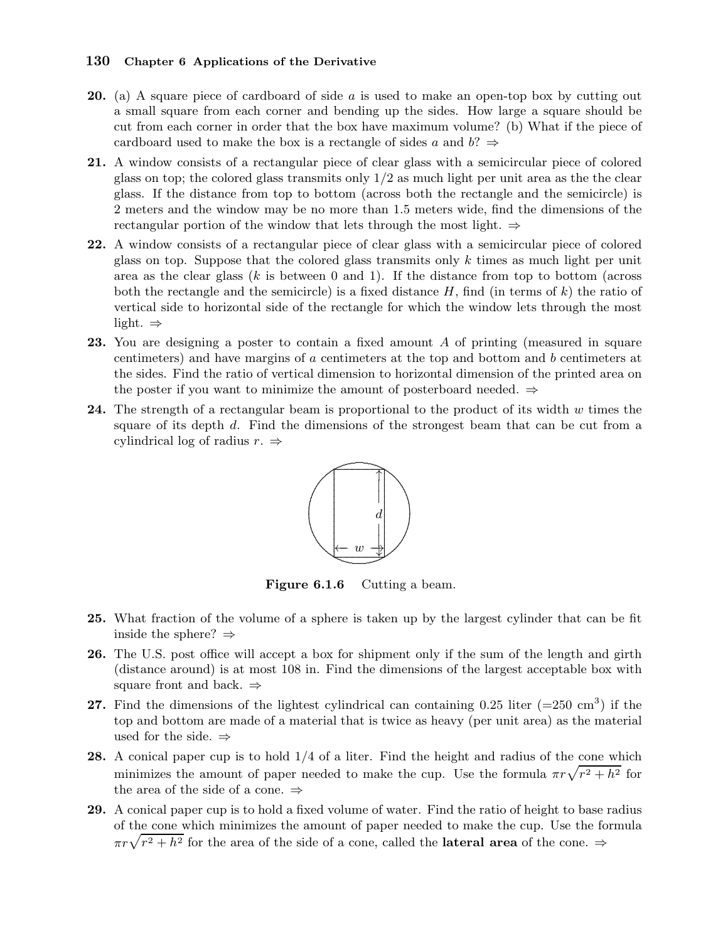- 20. (a) A square piece of cardboard of side a is used to make an open-top box by cutting out a small square from each corner and bending up the sides. How large a square should be cut from each corner in order that the box have maximum volume? (b) What if the piece of cardboard used to make the box is a rectangle of sides a and  $b? \Rightarrow$
- 21. A window consists of a rectangular piece of clear glass with a semicircular piece of colored glass on top; the colored glass transmits only  $1/2$  as much light per unit area as the the clear glass. If the distance from top to bottom (across both the rectangle and the semicircle) is 2 meters and the window may be no more than 1.5 meters wide, find the dimensions of the rectangular portion of the window that lets through the most light.  $\Rightarrow$
- 22. A window consists of a rectangular piece of clear glass with a semicircular piece of colored glass on top. Suppose that the colored glass transmits only  $k$  times as much light per unit area as the clear glass  $(k \text{ is between } 0 \text{ and } 1)$ . If the distance from top to bottom (across both the rectangle and the semicircle) is a fixed distance  $H$ , find (in terms of k) the ratio of vertical side to horizontal side of the rectangle for which the window lets through the most light.  $\Rightarrow$
- 23. You are designing a poster to contain a fixed amount A of printing (measured in square centimeters) and have margins of a centimeters at the top and bottom and b centimeters at the sides. Find the ratio of vertical dimension to horizontal dimension of the printed area on the poster if you want to minimize the amount of posterboard needed.  $\Rightarrow$
- **24.** The strength of a rectangular beam is proportional to the product of its width  $w$  times the square of its depth d. Find the dimensions of the strongest beam that can be cut from a cylindrical log of radius  $r \rightarrow$



Figure 6.1.6 Cutting a beam.

- 25. What fraction of the volume of a sphere is taken up by the largest cylinder that can be fit inside the sphere?  $\Rightarrow$
- 26. The U.S. post office will accept a box for shipment only if the sum of the length and girth (distance around) is at most 108 in. Find the dimensions of the largest acceptable box with square front and back.  $\Rightarrow$
- 27. Find the dimensions of the lightest cylindrical can containing 0.25 liter  $(=250 \text{ cm}^3)$  if the top and bottom are made of a material that is twice as heavy (per unit area) as the material used for the side.  $\Rightarrow$
- 28. A conical paper cup is to hold  $1/4$  of a liter. Find the height and radius of the cone which minimizes the amount of paper needed to make the cup. Use the formula  $\pi r \sqrt{r^2 + h^2}$  for the area of the side of a cone.  $\Rightarrow$
- 29. A conical paper cup is to hold a fixed volume of water. Find the ratio of height to base radius of the cone which minimizes the amount of paper needed to make the cup. Use the formula  $\pi r \sqrt{r^2 + h^2}$  for the area of the side of a cone, called the **lateral area** of the cone.  $\Rightarrow$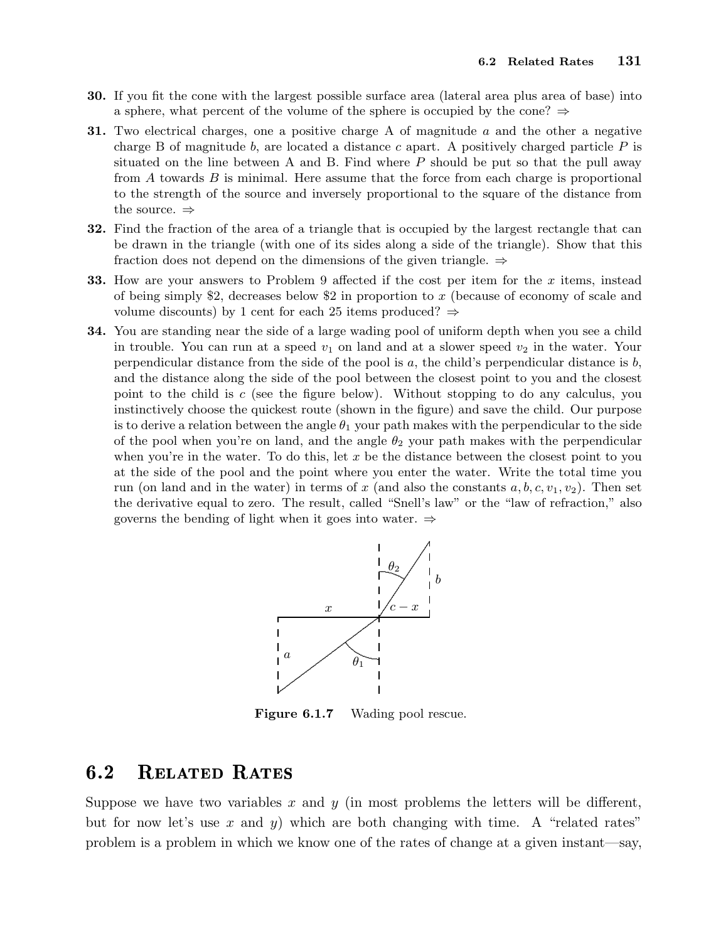- 30. If you fit the cone with the largest possible surface area (lateral area plus area of base) into a sphere, what percent of the volume of the sphere is occupied by the cone?  $\Rightarrow$
- 31. Two electrical charges, one a positive charge A of magnitude a and the other a negative charge B of magnitude b, are located a distance c apart. A positively charged particle P is situated on the line between A and B. Find where  $P$  should be put so that the pull away from A towards B is minimal. Here assume that the force from each charge is proportional to the strength of the source and inversely proportional to the square of the distance from the source.  $\Rightarrow$
- 32. Find the fraction of the area of a triangle that is occupied by the largest rectangle that can be drawn in the triangle (with one of its sides along a side of the triangle). Show that this fraction does not depend on the dimensions of the given triangle. ⇒
- 33. How are your answers to Problem 9 affected if the cost per item for the x items, instead of being simply \$2, decreases below \$2 in proportion to x (because of economy of scale and volume discounts) by 1 cent for each 25 items produced?  $\Rightarrow$
- 34. You are standing near the side of a large wading pool of uniform depth when you see a child in trouble. You can run at a speed  $v_1$  on land and at a slower speed  $v_2$  in the water. Your perpendicular distance from the side of the pool is a, the child's perpendicular distance is b, and the distance along the side of the pool between the closest point to you and the closest point to the child is  $c$  (see the figure below). Without stopping to do any calculus, you instinctively choose the quickest route (shown in the figure) and save the child. Our purpose is to derive a relation between the angle  $\theta_1$  your path makes with the perpendicular to the side of the pool when you're on land, and the angle  $\theta_2$  your path makes with the perpendicular when you're in the water. To do this, let  $x$  be the distance between the closest point to you at the side of the pool and the point where you enter the water. Write the total time you run (on land and in the water) in terms of x (and also the constants  $a, b, c, v_1, v_2$ ). Then set the derivative equal to zero. The result, called "Snell's law" or the "law of refraction," also governs the bending of light when it goes into water.  $\Rightarrow$



Figure 6.1.7 Wading pool rescue.

# 6.2 Related Rates

Suppose we have two variables x and y (in most problems the letters will be different, but for now let's use x and y) which are both changing with time. A "related rates" problem is a problem in which we know one of the rates of change at a given instant—say,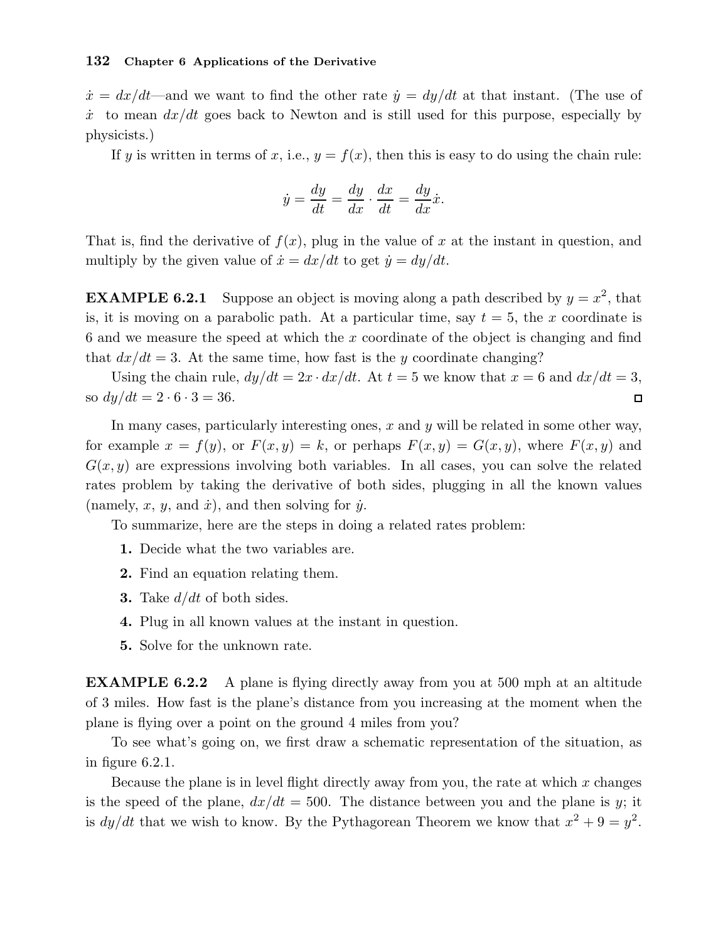$\dot{x} = dx/dt$ —and we want to find the other rate  $\dot{y} = dy/dt$  at that instant. (The use of  $\dot{x}$  to mean  $dx/dt$  goes back to Newton and is still used for this purpose, especially by physicists.)

If y is written in terms of x, i.e.,  $y = f(x)$ , then this is easy to do using the chain rule:

$$
\dot{y} = \frac{dy}{dt} = \frac{dy}{dx} \cdot \frac{dx}{dt} = \frac{dy}{dx}\dot{x}.
$$

That is, find the derivative of  $f(x)$ , plug in the value of x at the instant in question, and multiply by the given value of  $\dot{x} = dx/dt$  to get  $\dot{y} = dy/dt$ .

**EXAMPLE 6.2.1** Suppose an object is moving along a path described by  $y = x^2$ , that is, it is moving on a parabolic path. At a particular time, say  $t = 5$ , the x coordinate is 6 and we measure the speed at which the x coordinate of the object is changing and find that  $dx/dt = 3$ . At the same time, how fast is the y coordinate changing?

Using the chain rule,  $dy/dt = 2x \cdot dx/dt$ . At  $t = 5$  we know that  $x = 6$  and  $dx/dt = 3$ , so  $dy/dt = 2 \cdot 6 \cdot 3 = 36$ .  $\Box$ 

In many cases, particularly interesting ones,  $x$  and  $y$  will be related in some other way, for example  $x = f(y)$ , or  $F(x, y) = k$ , or perhaps  $F(x, y) = G(x, y)$ , where  $F(x, y)$  and  $G(x, y)$  are expressions involving both variables. In all cases, you can solve the related rates problem by taking the derivative of both sides, plugging in all the known values (namely, x, y, and  $\dot{x}$ ), and then solving for  $\dot{y}$ .

To summarize, here are the steps in doing a related rates problem:

- 1. Decide what the two variables are.
- 2. Find an equation relating them.
- **3.** Take  $d/dt$  of both sides.
- 4. Plug in all known values at the instant in question.
- 5. Solve for the unknown rate.

EXAMPLE 6.2.2 A plane is flying directly away from you at 500 mph at an altitude of 3 miles. How fast is the plane's distance from you increasing at the moment when the plane is flying over a point on the ground 4 miles from you?

To see what's going on, we first draw a schematic representation of the situation, as in figure 6.2.1.

Because the plane is in level flight directly away from you, the rate at which  $x$  changes is the speed of the plane,  $dx/dt = 500$ . The distance between you and the plane is y; it is  $dy/dt$  that we wish to know. By the Pythagorean Theorem we know that  $x^2 + 9 = y^2$ .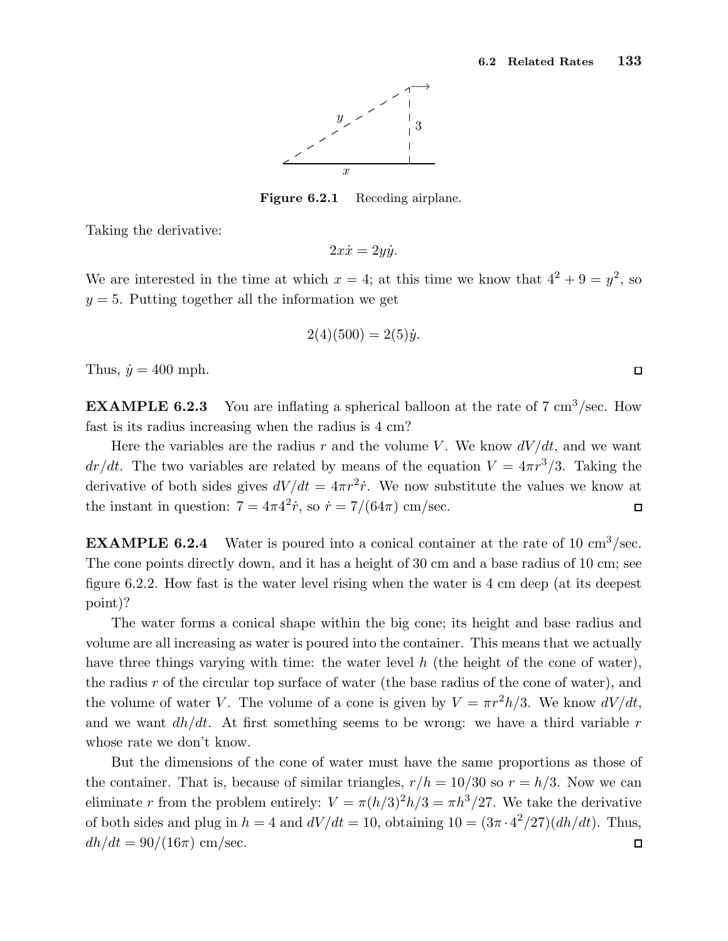

Figure 6.2.1 Receding airplane.

Taking the derivative:

 $2x\dot{x} = 2y\dot{y}$ .

We are interested in the time at which  $x = 4$ ; at this time we know that  $4^2 + 9 = y^2$ , so  $y = 5$ . Putting together all the information we get

$$
2(4)(500) = 2(5)\dot{y}.
$$

Thus,  $\dot{y} = 400$  mph.

**EXAMPLE 6.2.3** You are inflating a spherical balloon at the rate of 7 cm<sup>3</sup>/sec. How fast is its radius increasing when the radius is 4 cm?

Here the variables are the radius r and the volume V. We know  $dV/dt$ , and we want  $dr/dt$ . The two variables are related by means of the equation  $V = 4\pi r^3/3$ . Taking the derivative of both sides gives  $dV/dt = 4\pi r^2 \dot{r}$ . We now substitute the values we know at the instant in question:  $7 = 4\pi 4^2 \dot{r}$ , so  $\dot{r} = 7/(64\pi)$  cm/sec.  $\Box$ 

**EXAMPLE 6.2.4** Water is poured into a conical container at the rate of 10 cm<sup>3</sup>/sec. The cone points directly down, and it has a height of 30 cm and a base radius of 10 cm; see figure 6.2.2. How fast is the water level rising when the water is 4 cm deep (at its deepest point)?

The water forms a conical shape within the big cone; its height and base radius and volume are all increasing as water is poured into the container. This means that we actually have three things varying with time: the water level  $h$  (the height of the cone of water), the radius r of the circular top surface of water (the base radius of the cone of water), and the volume of water V. The volume of a cone is given by  $V = \pi r^2 h/3$ . We know  $dV/dt$ , and we want  $dh/dt$ . At first something seems to be wrong: we have a third variable r whose rate we don't know.

But the dimensions of the cone of water must have the same proportions as those of the container. That is, because of similar triangles,  $r/h = 10/30$  so  $r = h/3$ . Now we can eliminate r from the problem entirely:  $V = \pi (h/3)^2 h/3 = \pi h^3/27$ . We take the derivative of both sides and plug in  $h = 4$  and  $dV/dt = 10$ , obtaining  $10 = (3\pi \cdot 4^2/27)(dh/dt)$ . Thus,  $dh/dt = 90/(16\pi)$  cm/sec.  $\Box$ 

 $\Box$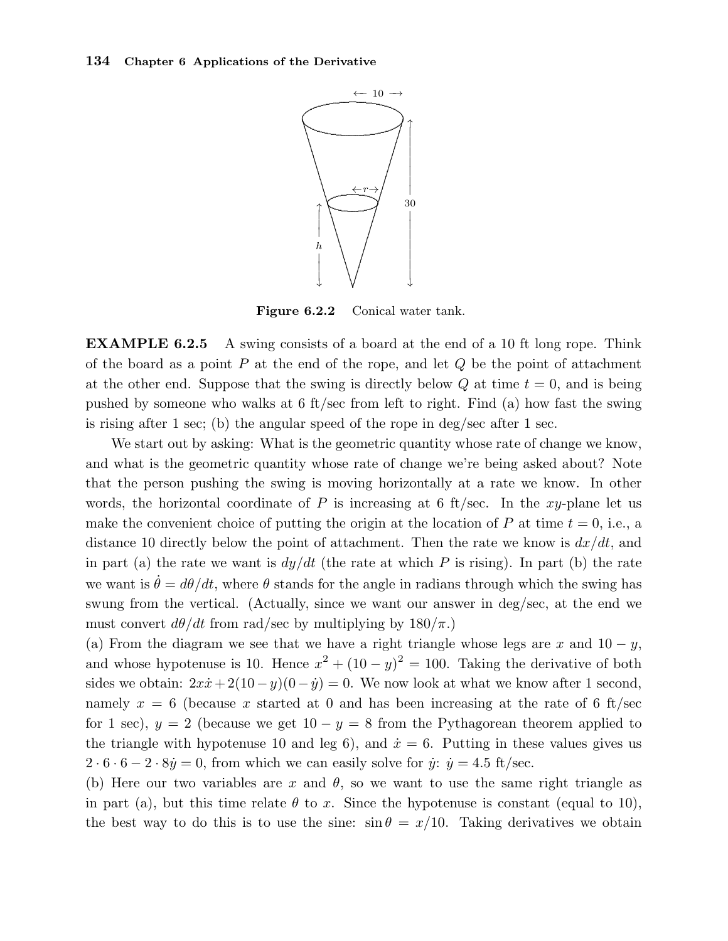

Figure 6.2.2 Conical water tank.

EXAMPLE 6.2.5 A swing consists of a board at the end of a 10 ft long rope. Think of the board as a point  $P$  at the end of the rope, and let  $Q$  be the point of attachment at the other end. Suppose that the swing is directly below  $Q$  at time  $t = 0$ , and is being pushed by someone who walks at 6 ft/sec from left to right. Find (a) how fast the swing is rising after 1 sec; (b) the angular speed of the rope in deg/sec after 1 sec.

We start out by asking: What is the geometric quantity whose rate of change we know, and what is the geometric quantity whose rate of change we're being asked about? Note that the person pushing the swing is moving horizontally at a rate we know. In other words, the horizontal coordinate of P is increasing at 6 ft/sec. In the  $xy$ -plane let us make the convenient choice of putting the origin at the location of P at time  $t = 0$ , i.e., a distance 10 directly below the point of attachment. Then the rate we know is  $dx/dt$ , and in part (a) the rate we want is  $dy/dt$  (the rate at which P is rising). In part (b) the rate we want is  $\dot{\theta} = d\theta/dt$ , where  $\theta$  stands for the angle in radians through which the swing has swung from the vertical. (Actually, since we want our answer in deg/sec, at the end we must convert  $d\theta/dt$  from rad/sec by multiplying by  $180/\pi$ .)

(a) From the diagram we see that we have a right triangle whose legs are x and  $10 - y$ , and whose hypotenuse is 10. Hence  $x^2 + (10 - y)^2 = 100$ . Taking the derivative of both sides we obtain:  $2x\dot{x} + 2(10 - y)(0 - \dot{y}) = 0$ . We now look at what we know after 1 second, namely  $x = 6$  (because x started at 0 and has been increasing at the rate of 6 ft/sec for 1 sec),  $y = 2$  (because we get  $10 - y = 8$  from the Pythagorean theorem applied to the triangle with hypotenuse 10 and leg 6), and  $\dot{x} = 6$ . Putting in these values gives us  $2 \cdot 6 \cdot 6 - 2 \cdot 8y = 0$ , from which we can easily solve for  $\dot{y}$ :  $\dot{y} = 4.5$  ft/sec.

(b) Here our two variables are x and  $\theta$ , so we want to use the same right triangle as in part (a), but this time relate  $\theta$  to x. Since the hypotenuse is constant (equal to 10), the best way to do this is to use the sine:  $\sin \theta = x/10$ . Taking derivatives we obtain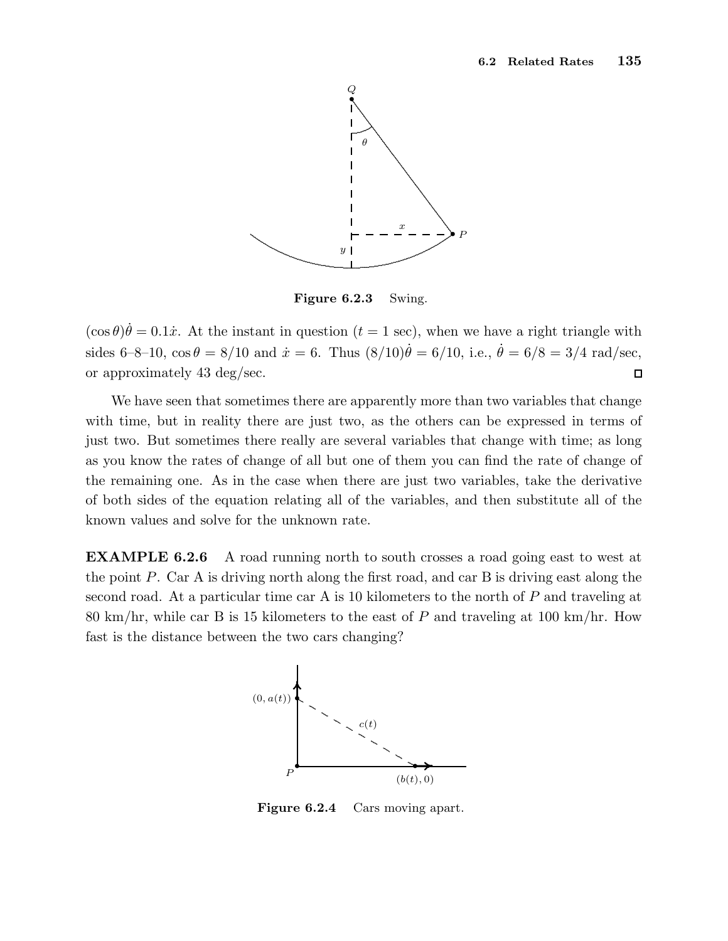

Figure 6.2.3 Swing.

 $(\cos \theta)\dot{\theta} = 0.1\dot{x}$ . At the instant in question  $(t = 1 \text{ sec})$ , when we have a right triangle with sides 6–8–10,  $\cos \theta = 8/10$  and  $\dot{x} = 6$ . Thus  $(8/10)\dot{\theta} = 6/10$ , i.e.,  $\dot{\theta} = 6/8 = 3/4$  rad/sec, or approximately 43 deg/sec.  $\Box$ 

We have seen that sometimes there are apparently more than two variables that change with time, but in reality there are just two, as the others can be expressed in terms of just two. But sometimes there really are several variables that change with time; as long as you know the rates of change of all but one of them you can find the rate of change of the remaining one. As in the case when there are just two variables, take the derivative of both sides of the equation relating all of the variables, and then substitute all of the known values and solve for the unknown rate.

EXAMPLE 6.2.6 A road running north to south crosses a road going east to west at the point  $P$ . Car A is driving north along the first road, and car B is driving east along the second road. At a particular time car A is 10 kilometers to the north of P and traveling at 80 km/hr, while car B is 15 kilometers to the east of P and traveling at 100 km/hr. How fast is the distance between the two cars changing?



Figure 6.2.4 Cars moving apart.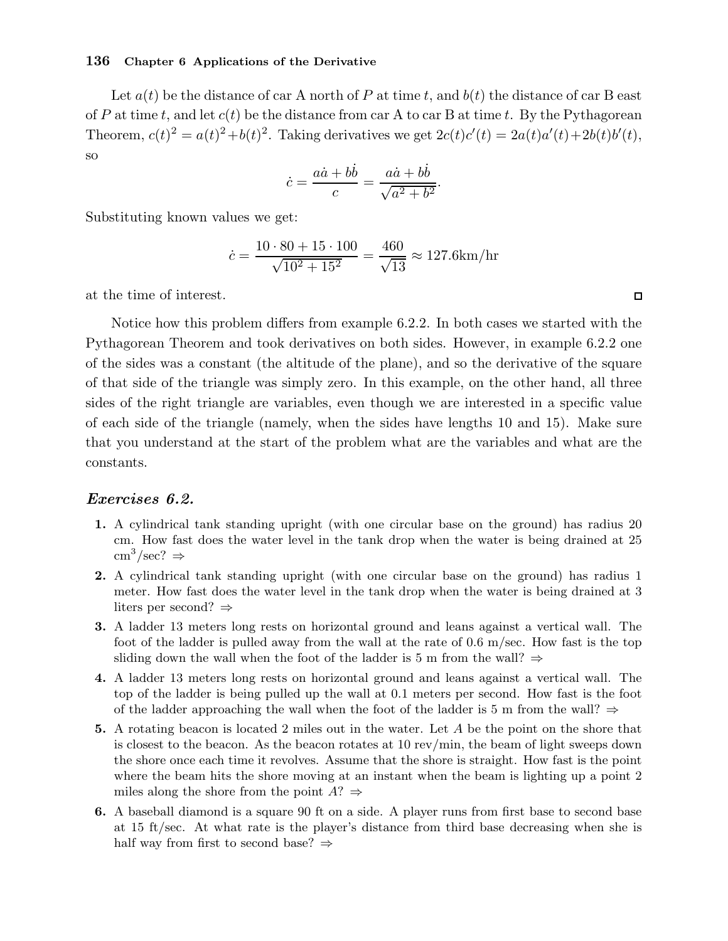Let  $a(t)$  be the distance of car A north of P at time t, and  $b(t)$  the distance of car B east of P at time t, and let  $c(t)$  be the distance from car A to car B at time t. By the Pythagorean Theorem,  $c(t)^2 = a(t)^2 + b(t)^2$ . Taking derivatives we get  $2c(t)c'(t) = 2a(t)a'(t) + 2b(t)b'(t)$ , so

$$
\dot{c} = \frac{a\dot{a} + b\dot{b}}{c} = \frac{a\dot{a} + b\dot{b}}{\sqrt{a^2 + b^2}}
$$

.

Substituting known values we get:

$$
\dot{c} = \frac{10 \cdot 80 + 15 \cdot 100}{\sqrt{10^2 + 15^2}} = \frac{460}{\sqrt{13}} \approx 127.6 \text{km/hr}
$$

at the time of interest.

Notice how this problem differs from example 6.2.2. In both cases we started with the Pythagorean Theorem and took derivatives on both sides. However, in example 6.2.2 one of the sides was a constant (the altitude of the plane), and so the derivative of the square of that side of the triangle was simply zero. In this example, on the other hand, all three sides of the right triangle are variables, even though we are interested in a specific value of each side of the triangle (namely, when the sides have lengths 10 and 15). Make sure that you understand at the start of the problem what are the variables and what are the constants.

### Exercises 6.2.

- 1. A cylindrical tank standing upright (with one circular base on the ground) has radius 20 cm. How fast does the water level in the tank drop when the water is being drained at 25  $\text{cm}^3/\text{sec}^2 \Rightarrow$
- 2. A cylindrical tank standing upright (with one circular base on the ground) has radius 1 meter. How fast does the water level in the tank drop when the water is being drained at 3 liters per second? ⇒
- 3. A ladder 13 meters long rests on horizontal ground and leans against a vertical wall. The foot of the ladder is pulled away from the wall at the rate of 0.6 m/sec. How fast is the top sliding down the wall when the foot of the ladder is 5 m from the wall?  $\Rightarrow$
- 4. A ladder 13 meters long rests on horizontal ground and leans against a vertical wall. The top of the ladder is being pulled up the wall at 0.1 meters per second. How fast is the foot of the ladder approaching the wall when the foot of the ladder is 5 m from the wall?  $\Rightarrow$
- 5. A rotating beacon is located 2 miles out in the water. Let A be the point on the shore that is closest to the beacon. As the beacon rotates at 10 rev/min, the beam of light sweeps down the shore once each time it revolves. Assume that the shore is straight. How fast is the point where the beam hits the shore moving at an instant when the beam is lighting up a point 2 miles along the shore from the point  $A? \Rightarrow$
- 6. A baseball diamond is a square 90 ft on a side. A player runs from first base to second base at 15 ft/sec. At what rate is the player's distance from third base decreasing when she is half way from first to second base?  $\Rightarrow$

 $\Box$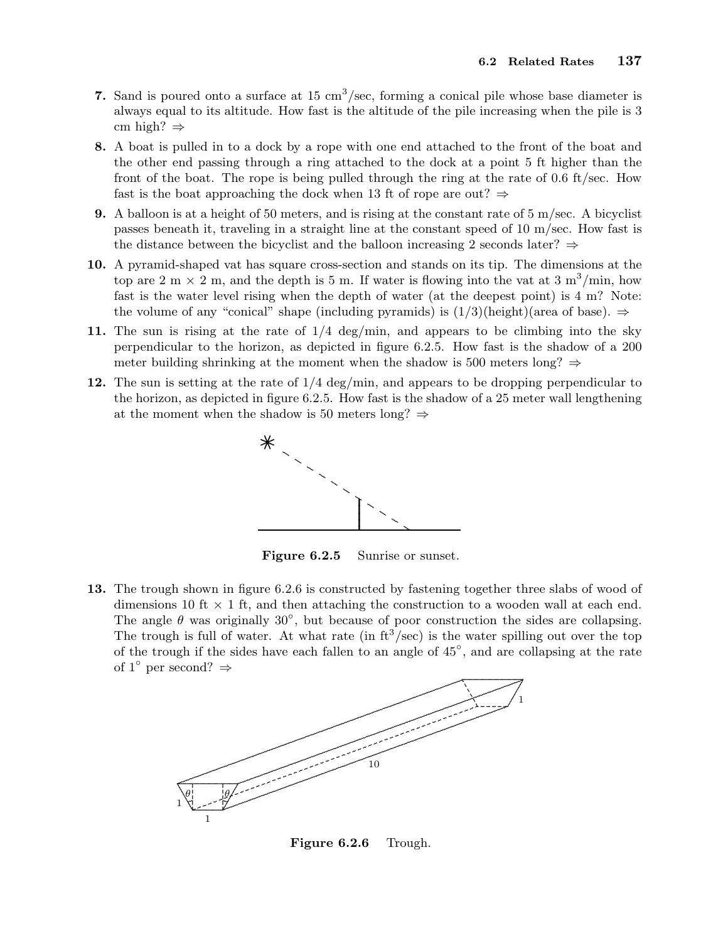- 7. Sand is poured onto a surface at  $15 \text{ cm}^3/\text{sec}$ , forming a conical pile whose base diameter is always equal to its altitude. How fast is the altitude of the pile increasing when the pile is 3 cm high? ⇒
- 8. A boat is pulled in to a dock by a rope with one end attached to the front of the boat and the other end passing through a ring attached to the dock at a point 5 ft higher than the front of the boat. The rope is being pulled through the ring at the rate of 0.6 ft/sec. How fast is the boat approaching the dock when 13 ft of rope are out?  $\Rightarrow$
- **9.** A balloon is at a height of 50 meters, and is rising at the constant rate of 5 m/sec. A bicyclist passes beneath it, traveling in a straight line at the constant speed of 10 m/sec. How fast is the distance between the bicyclist and the balloon increasing 2 seconds later?  $\Rightarrow$
- 10. A pyramid-shaped vat has square cross-section and stands on its tip. The dimensions at the top are 2 m  $\times$  2 m, and the depth is 5 m. If water is flowing into the vat at 3 m<sup>3</sup>/min, how fast is the water level rising when the depth of water (at the deepest point) is 4 m? Note: the volume of any "conical" shape (including pyramids) is  $(1/3)(\text{height})(\text{area of base}). \Rightarrow$
- 11. The sun is rising at the rate of 1/4 deg/min, and appears to be climbing into the sky perpendicular to the horizon, as depicted in figure 6.2.5. How fast is the shadow of a 200 meter building shrinking at the moment when the shadow is 500 meters long?  $\Rightarrow$
- 12. The sun is setting at the rate of 1/4 deg/min, and appears to be dropping perpendicular to the horizon, as depicted in figure 6.2.5. How fast is the shadow of a 25 meter wall lengthening at the moment when the shadow is 50 meters long?  $\Rightarrow$



Figure 6.2.5 Sunrise or sunset.

13. The trough shown in figure 6.2.6 is constructed by fastening together three slabs of wood of dimensions 10 ft  $\times$  1 ft, and then attaching the construction to a wooden wall at each end. The angle  $\theta$  was originally 30°, but because of poor construction the sides are collapsing. The trough is full of water. At what rate (in  $\text{ft}^3/\text{sec}$ ) is the water spilling out over the top of the trough if the sides have each fallen to an angle of  $45^{\circ}$ , and are collapsing at the rate of 1 $\degree$  per second? ⇒



Figure 6.2.6 Trough.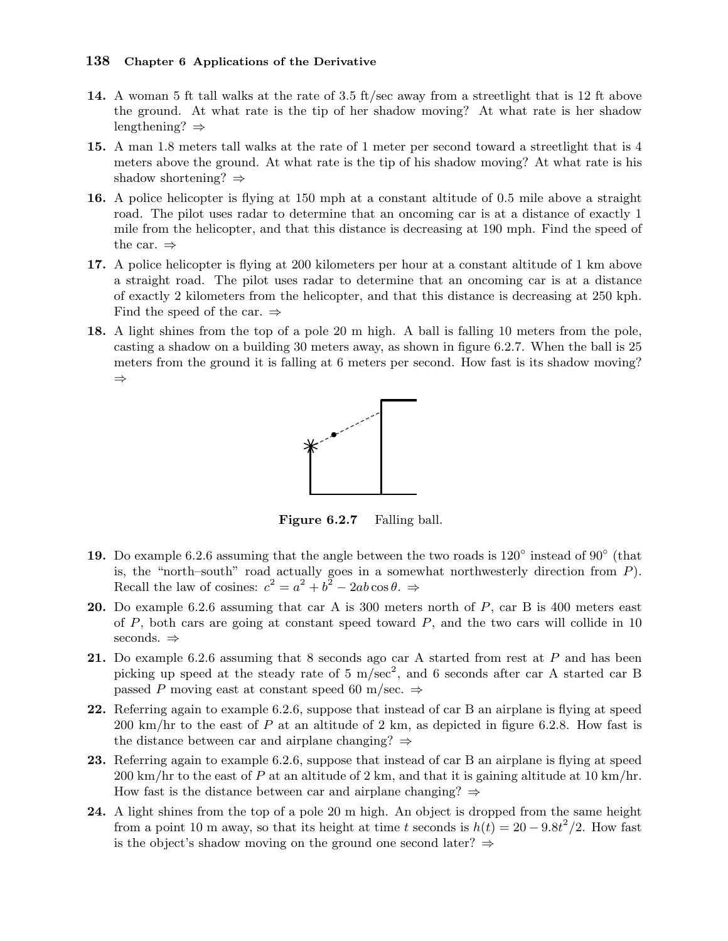- 14. A woman 5 ft tall walks at the rate of 3.5 ft/sec away from a streetlight that is 12 ft above the ground. At what rate is the tip of her shadow moving? At what rate is her shadow lengthening? ⇒
- 15. A man 1.8 meters tall walks at the rate of 1 meter per second toward a streetlight that is 4 meters above the ground. At what rate is the tip of his shadow moving? At what rate is his shadow shortening? ⇒
- 16. A police helicopter is flying at 150 mph at a constant altitude of 0.5 mile above a straight road. The pilot uses radar to determine that an oncoming car is at a distance of exactly 1 mile from the helicopter, and that this distance is decreasing at 190 mph. Find the speed of the car.  $\Rightarrow$
- 17. A police helicopter is flying at 200 kilometers per hour at a constant altitude of 1 km above a straight road. The pilot uses radar to determine that an oncoming car is at a distance of exactly 2 kilometers from the helicopter, and that this distance is decreasing at 250 kph. Find the speed of the car.  $\Rightarrow$
- 18. A light shines from the top of a pole 20 m high. A ball is falling 10 meters from the pole, casting a shadow on a building 30 meters away, as shown in figure 6.2.7. When the ball is 25 meters from the ground it is falling at 6 meters per second. How fast is its shadow moving? ⇒



Figure 6.2.7 Falling ball.

- 19. Do example 6.2.6 assuming that the angle between the two roads is  $120^{\circ}$  instead of  $90^{\circ}$  (that is, the "north-south" road actually goes in a somewhat northwesterly direction from  $P$ ). Recall the law of cosines:  $c^2 = a^2 + b^2 - 2ab \cos \theta$ .
- **20.** Do example 6.2.6 assuming that car A is 300 meters north of  $P$ , car B is 400 meters east of  $P$ , both cars are going at constant speed toward  $P$ , and the two cars will collide in 10 seconds. ⇒
- 21. Do example 6.2.6 assuming that 8 seconds ago car A started from rest at  $P$  and has been picking up speed at the steady rate of 5 m/sec<sup>2</sup>, and 6 seconds after car A started car B passed P moving east at constant speed 60 m/sec.  $\Rightarrow$
- 22. Referring again to example 6.2.6, suppose that instead of car B an airplane is flying at speed  $200 \text{ km/hr}$  to the east of P at an altitude of 2 km, as depicted in figure 6.2.8. How fast is the distance between car and airplane changing? ⇒
- 23. Referring again to example 6.2.6, suppose that instead of car B an airplane is flying at speed  $200 \text{ km/hr}$  to the east of P at an altitude of 2 km, and that it is gaining altitude at 10 km/hr. How fast is the distance between car and airplane changing?  $\Rightarrow$
- 24. A light shines from the top of a pole 20 m high. An object is dropped from the same height from a point 10 m away, so that its height at time t seconds is  $h(t) = 20 - 9.8t^2/2$ . How fast is the object's shadow moving on the ground one second later?  $\Rightarrow$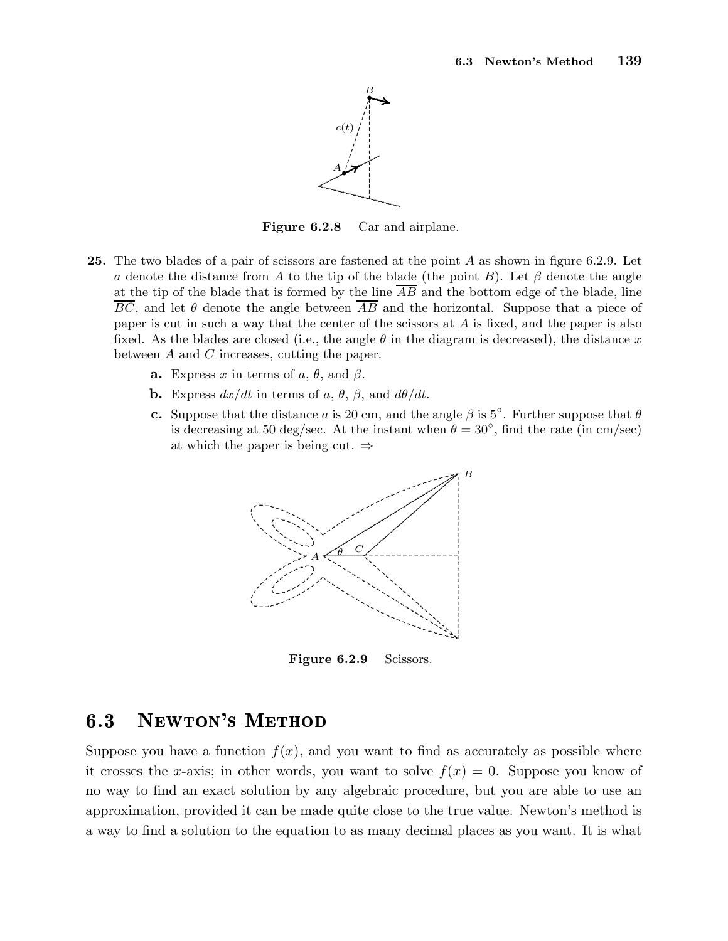

Figure 6.2.8 Car and airplane.

- 25. The two blades of a pair of scissors are fastened at the point  $A$  as shown in figure 6.2.9. Let a denote the distance from A to the tip of the blade (the point B). Let  $\beta$  denote the angle at the tip of the blade that is formed by the line  $AB$  and the bottom edge of the blade, line  $\overline{BC}$ , and let  $\theta$  denote the angle between  $\overline{AB}$  and the horizontal. Suppose that a piece of paper is cut in such a way that the center of the scissors at  $A$  is fixed, and the paper is also fixed. As the blades are closed (i.e., the angle  $\theta$  in the diagram is decreased), the distance x between A and C increases, cutting the paper.
	- **a.** Express x in terms of a,  $θ$ , and  $β$ .
	- **b.** Express  $dx/dt$  in terms of a,  $\theta$ ,  $\beta$ , and  $d\theta/dt$ .
	- **c.** Suppose that the distance a is 20 cm, and the angle  $\beta$  is 5°. Further suppose that  $\theta$ is decreasing at 50 deg/sec. At the instant when  $\theta = 30^{\circ}$ , find the rate (in cm/sec) at which the paper is being cut.  $\Rightarrow$



Figure 6.2.9 Scissors.

# 6.3 Newton's Method

Suppose you have a function  $f(x)$ , and you want to find as accurately as possible where it crosses the x-axis; in other words, you want to solve  $f(x) = 0$ . Suppose you know of no way to find an exact solution by any algebraic procedure, but you are able to use an approximation, provided it can be made quite close to the true value. Newton's method is a way to find a solution to the equation to as many decimal places as you want. It is what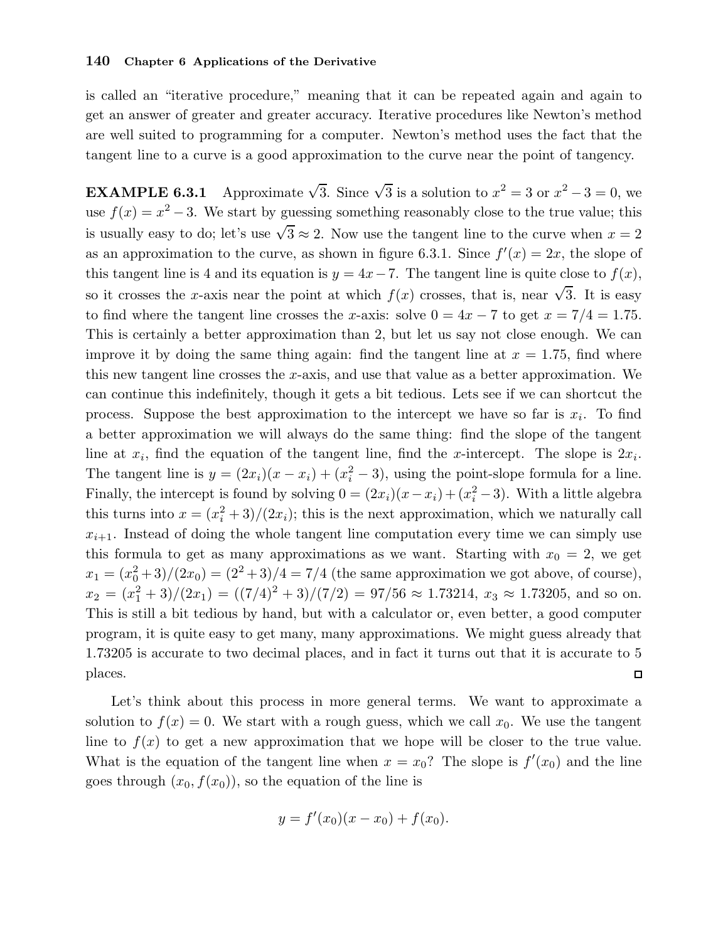is called an "iterative procedure," meaning that it can be repeated again and again to get an answer of greater and greater accuracy. Iterative procedures like Newton's method are well suited to programming for a computer. Newton's method uses the fact that the tangent line to a curve is a good approximation to the curve near the point of tangency.

**EXAMPLE 6.3.1** Approximate  $\sqrt{3}$ . Since  $\sqrt{3}$  is a solution to  $x^2 = 3$  or  $x^2 - 3 = 0$ , we use  $f(x) = x^2 - 3$ . We start by guessing something reasonably close to the true value; this is usually easy to do; let's use  $\sqrt{3} \approx 2$ . Now use the tangent line to the curve when  $x = 2$ as an approximation to the curve, as shown in figure 6.3.1. Since  $f'(x) = 2x$ , the slope of this tangent line is 4 and its equation is  $y = 4x-7$ . The tangent line is quite close to  $f(x)$ , so it crosses the x-axis near the point at which  $f(x)$  crosses, that is, near  $\sqrt{3}$ . It is easy to find where the tangent line crosses the x-axis: solve  $0 = 4x - 7$  to get  $x = 7/4 = 1.75$ . This is certainly a better approximation than 2, but let us say not close enough. We can improve it by doing the same thing again: find the tangent line at  $x = 1.75$ , find where this new tangent line crosses the x-axis, and use that value as a better approximation. We can continue this indefinitely, though it gets a bit tedious. Lets see if we can shortcut the process. Suppose the best approximation to the intercept we have so far is  $x_i$ . To find a better approximation we will always do the same thing: find the slope of the tangent line at  $x_i$ , find the equation of the tangent line, find the x-intercept. The slope is  $2x_i$ . The tangent line is  $y = (2x_i)(x - x_i) + (x_i^2 - 3)$ , using the point-slope formula for a line. Finally, the intercept is found by solving  $0 = (2x_i)(x - x_i) + (x_i^2 - 3)$ . With a little algebra this turns into  $x = (x_i^2 + 3)/(2x_i)$ ; this is the next approximation, which we naturally call  $x_{i+1}$ . Instead of doing the whole tangent line computation every time we can simply use this formula to get as many approximations as we want. Starting with  $x_0 = 2$ , we get  $x_1 = (x_0^2 + 3)/(2x_0) = (2^2 + 3)/4 = 7/4$  (the same approximation we got above, of course),  $x_2 = (x_1^2 + 3)/(2x_1) = ((7/4)^2 + 3)/(7/2) = 97/56 \approx 1.73214, x_3 \approx 1.73205$ , and so on. This is still a bit tedious by hand, but with a calculator or, even better, a good computer program, it is quite easy to get many, many approximations. We might guess already that 1.73205 is accurate to two decimal places, and in fact it turns out that it is accurate to 5 places.  $\Box$ 

Let's think about this process in more general terms. We want to approximate a solution to  $f(x) = 0$ . We start with a rough guess, which we call  $x_0$ . We use the tangent line to  $f(x)$  to get a new approximation that we hope will be closer to the true value. What is the equation of the tangent line when  $x = x_0$ ? The slope is  $f'(x_0)$  and the line goes through  $(x_0, f(x_0))$ , so the equation of the line is

$$
y = f'(x_0)(x - x_0) + f(x_0).
$$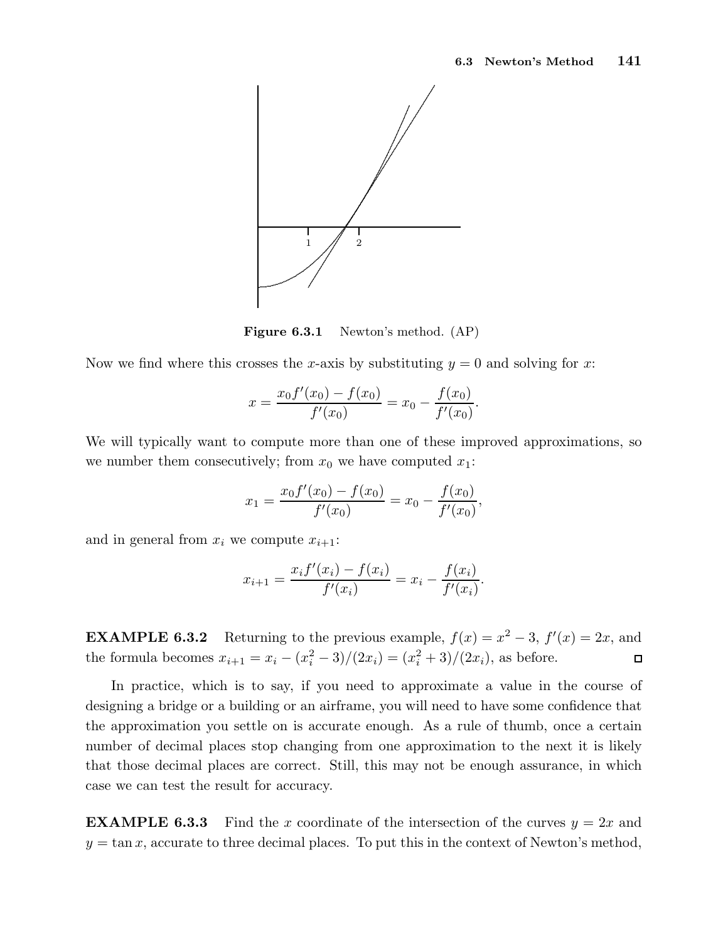

Figure 6.3.1 Newton's method. (AP)

Now we find where this crosses the x-axis by substituting  $y = 0$  and solving for x:

$$
x = \frac{x_0 f'(x_0) - f(x_0)}{f'(x_0)} = x_0 - \frac{f(x_0)}{f'(x_0)}.
$$

We will typically want to compute more than one of these improved approximations, so we number them consecutively; from  $x_0$  we have computed  $x_1$ :

$$
x_1 = \frac{x_0 f'(x_0) - f(x_0)}{f'(x_0)} = x_0 - \frac{f(x_0)}{f'(x_0)},
$$

and in general from  $x_i$  we compute  $x_{i+1}$ :

$$
x_{i+1} = \frac{x_i f'(x_i) - f(x_i)}{f'(x_i)} = x_i - \frac{f(x_i)}{f'(x_i)}.
$$

**EXAMPLE 6.3.2** Returning to the previous example,  $f(x) = x^2 - 3$ ,  $f'(x) = 2x$ , and the formula becomes  $x_{i+1} = x_i - (x_i^2 - 3)/(2x_i) = (x_i^2 + 3)/(2x_i)$ , as before.  $\Box$ 

In practice, which is to say, if you need to approximate a value in the course of designing a bridge or a building or an airframe, you will need to have some confidence that the approximation you settle on is accurate enough. As a rule of thumb, once a certain number of decimal places stop changing from one approximation to the next it is likely that those decimal places are correct. Still, this may not be enough assurance, in which case we can test the result for accuracy.

**EXAMPLE 6.3.3** Find the x coordinate of the intersection of the curves  $y = 2x$  and  $y = \tan x$ , accurate to three decimal places. To put this in the context of Newton's method,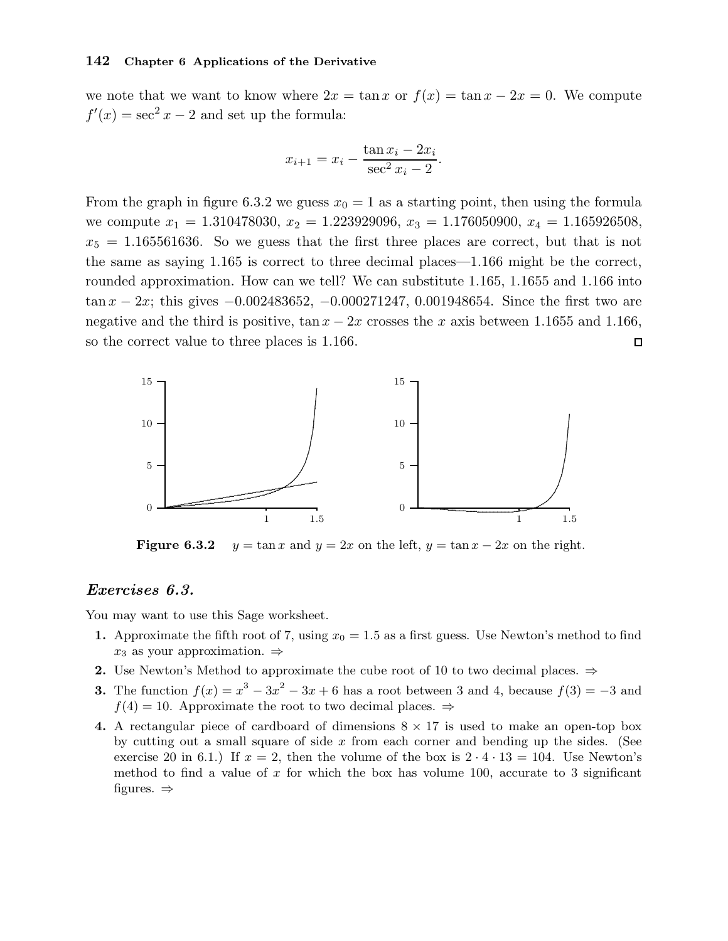we note that we want to know where  $2x = \tan x$  or  $f(x) = \tan x - 2x = 0$ . We compute  $f'(x) = \sec^2 x - 2$  and set up the formula:

$$
x_{i+1} = x_i - \frac{\tan x_i - 2x_i}{\sec^2 x_i - 2}.
$$

From the graph in figure 6.3.2 we guess  $x_0 = 1$  as a starting point, then using the formula we compute  $x_1 = 1.310478030, x_2 = 1.223929096, x_3 = 1.176050900, x_4 = 1.165926508,$  $x_5 = 1.165561636$ . So we guess that the first three places are correct, but that is not the same as saying 1.165 is correct to three decimal places—1.166 might be the correct, rounded approximation. How can we tell? We can substitute 1.165, 1.1655 and 1.166 into tan  $x - 2x$ ; this gives  $-0.002483652$ ,  $-0.000271247$ , 0.001948654. Since the first two are negative and the third is positive, tan  $x - 2x$  crosses the x axis between 1.1655 and 1.166, so the correct value to three places is 1.166.  $\Box$ 



Figure 6.3.2 y = tan x and  $y = 2x$  on the left,  $y = \tan x - 2x$  on the right.

### Exercises 6.3.

You may want to use this Sage worksheet.

- 1. Approximate the fifth root of 7, using  $x_0 = 1.5$  as a first guess. Use Newton's method to find  $x_3$  as your approximation.  $\Rightarrow$
- 2. Use Newton's Method to approximate the cube root of 10 to two decimal places.  $\Rightarrow$
- 3. The function  $f(x) = x^3 3x^2 3x + 6$  has a root between 3 and 4, because  $f(3) = -3$  and  $f(4) = 10$ . Approximate the root to two decimal places.  $\Rightarrow$
- 4. A rectangular piece of cardboard of dimensions  $8 \times 17$  is used to make an open-top box by cutting out a small square of side  $x$  from each corner and bending up the sides. (See exercise 20 in 6.1.) If  $x = 2$ , then the volume of the box is  $2 \cdot 4 \cdot 13 = 104$ . Use Newton's method to find a value of x for which the box has volume 100, accurate to 3 significant figures.  $\Rightarrow$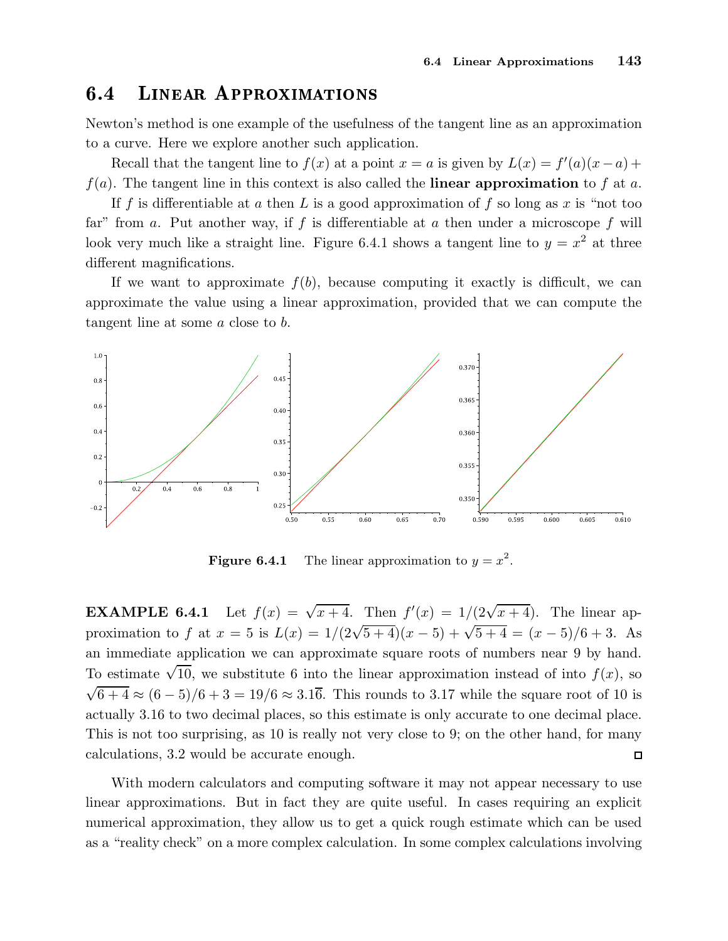# 6.4 Linear Approximations

Newton's method is one example of the usefulness of the tangent line as an approximation to a curve. Here we explore another such application.

Recall that the tangent line to  $f(x)$  at a point  $x = a$  is given by  $L(x) = f'(a)(x - a) +$  $f(a)$ . The tangent line in this context is also called the **linear approximation** to f at a.

If f is differentiable at a then L is a good approximation of f so long as x is "not too far" from a. Put another way, if  $f$  is differentiable at  $a$  then under a microscope  $f$  will look very much like a straight line. Figure 6.4.1 shows a tangent line to  $y = x^2$  at three different magnifications.

If we want to approximate  $f(b)$ , because computing it exactly is difficult, we can approximate the value using a linear approximation, provided that we can compute the tangent line at some a close to b.



**Figure 6.4.1** The linear approximation to  $y = x^2$ .

**EXAMPLE 6.4.1** Let  $f(x) = \sqrt{x+4}$ . Then  $f'(x) = 1/(2\sqrt{x+4})$ . The linear approximation to f at  $x = 5$  is  $L(x) = 1/(2\sqrt{5+4})(x-5) + \sqrt{5+4} = (x-5)/6 + 3$ . As an immediate application we can approximate square roots of numbers near 9 by hand. To estimate  $\sqrt{10}$ , we substitute 6 into the linear approximation instead of into  $f(x)$ , so  $\sqrt{6+4} \approx (6-5)/6 + 3 = 19/6 \approx 3.1\overline{6}$ . This rounds to 3.17 while the square root of 10 is actually 3.16 to two decimal places, so this estimate is only accurate to one decimal place. This is not too surprising, as 10 is really not very close to 9; on the other hand, for many calculations, 3.2 would be accurate enough.  $\Box$ 

With modern calculators and computing software it may not appear necessary to use linear approximations. But in fact they are quite useful. In cases requiring an explicit numerical approximation, they allow us to get a quick rough estimate which can be used as a "reality check" on a more complex calculation. In some complex calculations involving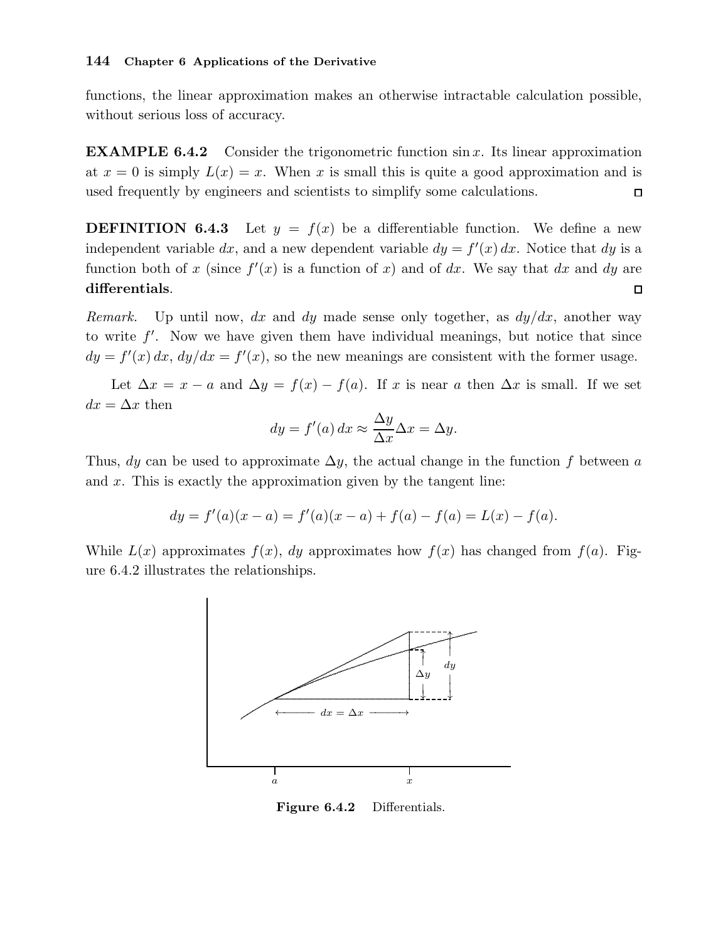functions, the linear approximation makes an otherwise intractable calculation possible, without serious loss of accuracy.

**EXAMPLE 6.4.2** Consider the trigonometric function  $\sin x$ . Its linear approximation at  $x = 0$  is simply  $L(x) = x$ . When x is small this is quite a good approximation and is used frequently by engineers and scientists to simplify some calculations.  $\Box$ 

**DEFINITION 6.4.3** Let  $y = f(x)$  be a differentiable function. We define a new independent variable dx, and a new dependent variable  $dy = f'(x) dx$ . Notice that dy is a function both of x (since  $f'(x)$  is a function of x) and of dx. We say that dx and dy are differentials.  $\Box$ 

Remark. Up until now, dx and dy made sense only together, as  $dy/dx$ , another way to write  $f'$ . Now we have given them have individual meanings, but notice that since  $dy = f'(x) dx$ ,  $dy/dx = f'(x)$ , so the new meanings are consistent with the former usage.

Let  $\Delta x = x - a$  and  $\Delta y = f(x) - f(a)$ . If x is near a then  $\Delta x$  is small. If we set  $dx = \Delta x$  then

$$
dy = f'(a) dx \approx \frac{\Delta y}{\Delta x} \Delta x = \Delta y.
$$

Thus, dy can be used to approximate  $\Delta y$ , the actual change in the function f between a and  $x$ . This is exactly the approximation given by the tangent line:

$$
dy = f'(a)(x - a) = f'(a)(x - a) + f(a) - f(a) = L(x) - f(a).
$$

While  $L(x)$  approximates  $f(x)$ , dy approximates how  $f(x)$  has changed from  $f(a)$ . Figure 6.4.2 illustrates the relationships.



Figure 6.4.2 Differentials.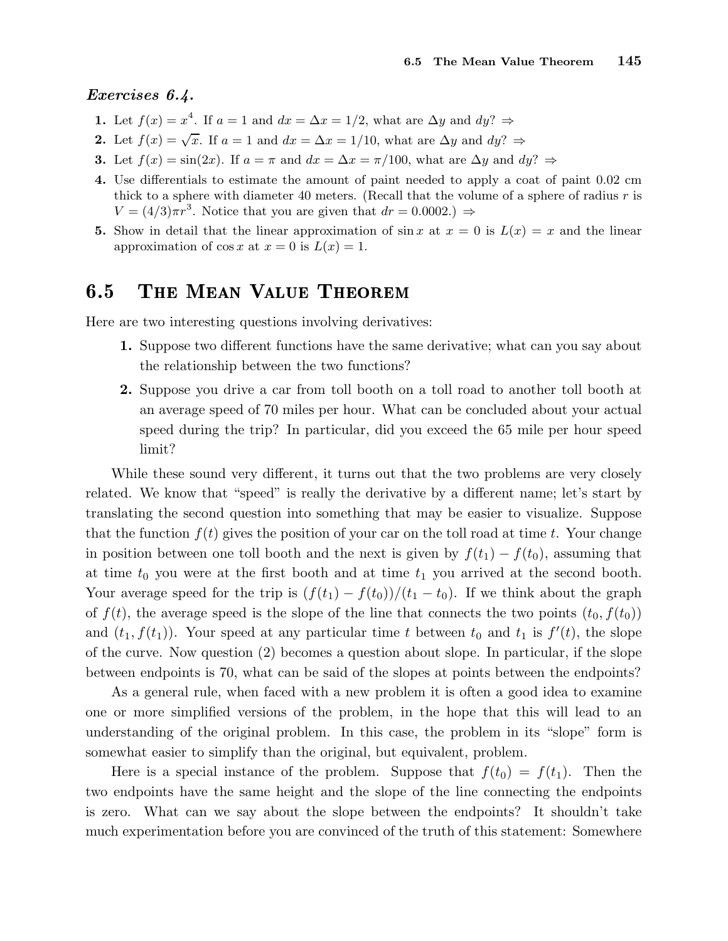# Exercises 6.4.

- 1. Let  $f(x) = x^4$ . If  $a = 1$  and  $dx = \Delta x = 1/2$ , what are  $\Delta y$  and  $dy$ ?  $\Rightarrow$
- 2. Let  $f(x) = \sqrt{x}$ . If  $a = 1$  and  $dx = \Delta x = 1/10$ , what are  $\Delta y$  and  $dy$ ?  $\Rightarrow$
- **3.** Let  $f(x) = \sin(2x)$ . If  $a = \pi$  and  $dx = \Delta x = \pi/100$ , what are  $\Delta y$  and  $dy? \Rightarrow$
- 4. Use differentials to estimate the amount of paint needed to apply a coat of paint 0.02 cm thick to a sphere with diameter 40 meters. (Recall that the volume of a sphere of radius  $r$  is  $V = (4/3)\pi r^3$ . Notice that you are given that  $dr = 0.0002$ .)  $\Rightarrow$
- 5. Show in detail that the linear approximation of  $\sin x$  at  $x = 0$  is  $L(x) = x$  and the linear approximation of  $\cos x$  at  $x = 0$  is  $L(x) = 1$ .

# 6.5 The Mean Value Theorem

Here are two interesting questions involving derivatives:

- 1. Suppose two different functions have the same derivative; what can you say about the relationship between the two functions?
- 2. Suppose you drive a car from toll booth on a toll road to another toll booth at an average speed of 70 miles per hour. What can be concluded about your actual speed during the trip? In particular, did you exceed the 65 mile per hour speed limit?

While these sound very different, it turns out that the two problems are very closely related. We know that "speed" is really the derivative by a different name; let's start by translating the second question into something that may be easier to visualize. Suppose that the function  $f(t)$  gives the position of your car on the toll road at time t. Your change in position between one toll booth and the next is given by  $f(t_1) - f(t_0)$ , assuming that at time  $t_0$  you were at the first booth and at time  $t_1$  you arrived at the second booth. Your average speed for the trip is  $(f(t_1) - f(t_0))/(t_1 - t_0)$ . If we think about the graph of  $f(t)$ , the average speed is the slope of the line that connects the two points  $(t_0, f(t_0))$ and  $(t_1, f(t_1))$ . Your speed at any particular time t between  $t_0$  and  $t_1$  is  $f'(t)$ , the slope of the curve. Now question (2) becomes a question about slope. In particular, if the slope between endpoints is 70, what can be said of the slopes at points between the endpoints?

As a general rule, when faced with a new problem it is often a good idea to examine one or more simplified versions of the problem, in the hope that this will lead to an understanding of the original problem. In this case, the problem in its "slope" form is somewhat easier to simplify than the original, but equivalent, problem.

Here is a special instance of the problem. Suppose that  $f(t_0) = f(t_1)$ . Then the two endpoints have the same height and the slope of the line connecting the endpoints is zero. What can we say about the slope between the endpoints? It shouldn't take much experimentation before you are convinced of the truth of this statement: Somewhere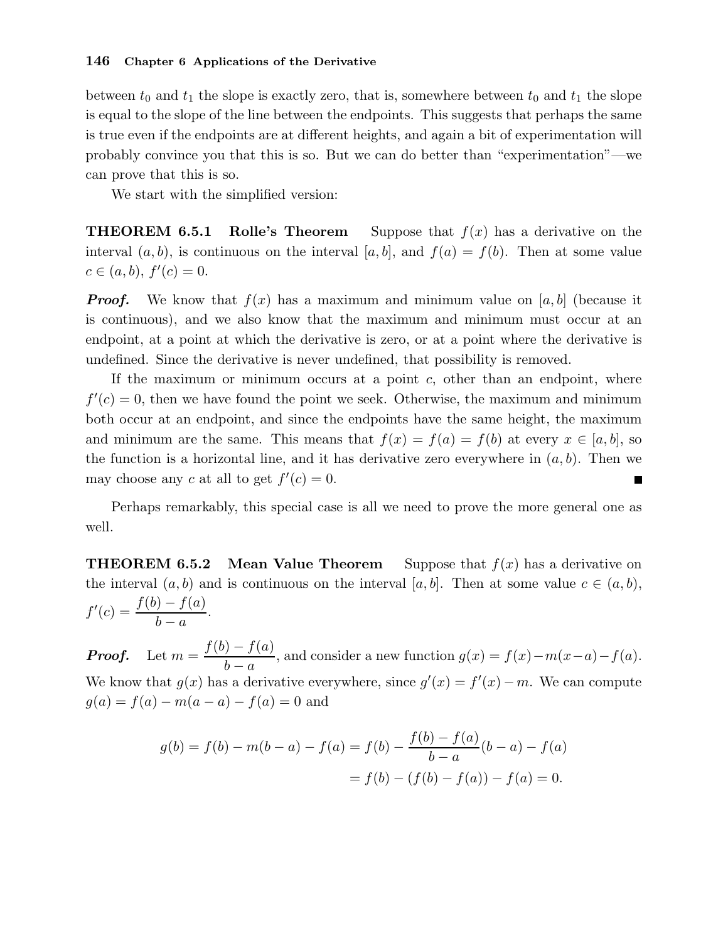between  $t_0$  and  $t_1$  the slope is exactly zero, that is, somewhere between  $t_0$  and  $t_1$  the slope is equal to the slope of the line between the endpoints. This suggests that perhaps the same is true even if the endpoints are at different heights, and again a bit of experimentation will probably convince you that this is so. But we can do better than "experimentation"—we can prove that this is so.

We start with the simplified version:

**THEOREM 6.5.1 Rolle's Theorem** Suppose that  $f(x)$  has a derivative on the interval  $(a, b)$ , is continuous on the interval  $[a, b]$ , and  $f(a) = f(b)$ . Then at some value  $c \in (a, b), f'(c) = 0.$ 

**Proof.** We know that  $f(x)$  has a maximum and minimum value on [a, b] (because it is continuous), and we also know that the maximum and minimum must occur at an endpoint, at a point at which the derivative is zero, or at a point where the derivative is undefined. Since the derivative is never undefined, that possibility is removed.

If the maximum or minimum occurs at a point  $c$ , other than an endpoint, where  $f'(c) = 0$ , then we have found the point we seek. Otherwise, the maximum and minimum both occur at an endpoint, and since the endpoints have the same height, the maximum and minimum are the same. This means that  $f(x) = f(a) = f(b)$  at every  $x \in [a, b]$ , so the function is a horizontal line, and it has derivative zero everywhere in  $(a, b)$ . Then we may choose any c at all to get  $f'(c) = 0$ . П

Perhaps remarkably, this special case is all we need to prove the more general one as well.

**THEOREM 6.5.2** Mean Value Theorem Suppose that  $f(x)$  has a derivative on the interval  $(a, b)$  and is continuous on the interval [a, b]. Then at some value  $c \in (a, b)$ ,  $f'(c) = \frac{f(b) - f(a)}{1}$  $b - a$ .

**Proof.** Let  $m = \frac{f(b) - f(a)}{b}$  $b - a$ , and consider a new function  $g(x) = f(x) - m(x-a) - f(a)$ . We know that  $g(x)$  has a derivative everywhere, since  $g'(x) = f'(x) - m$ . We can compute  $g(a) = f(a) - m(a - a) - f(a) = 0$  and

$$
g(b) = f(b) - m(b - a) - f(a) = f(b) - \frac{f(b) - f(a)}{b - a}(b - a) - f(a)
$$

$$
= f(b) - (f(b) - f(a)) - f(a) = 0.
$$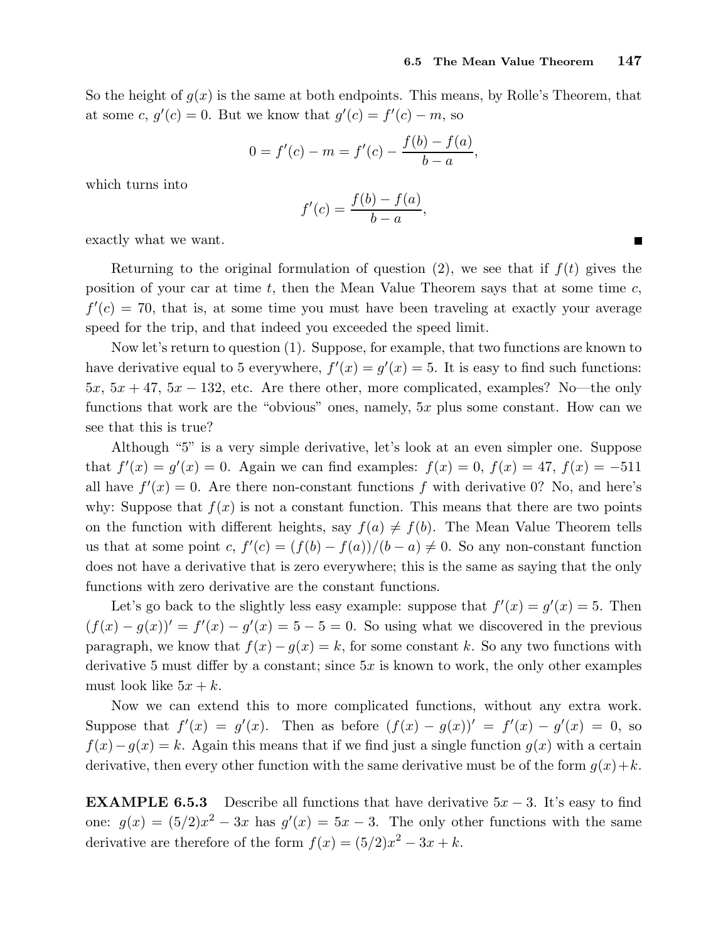So the height of  $g(x)$  is the same at both endpoints. This means, by Rolle's Theorem, that at some  $c, g'(c) = 0$ . But we know that  $g'(c) = f'(c) - m$ , so

$$
0 = f'(c) - m = f'(c) - \frac{f(b) - f(a)}{b - a},
$$

which turns into

$$
f'(c) = \frac{f(b) - f(a)}{b - a},
$$

exactly what we want.

Returning to the original formulation of question (2), we see that if  $f(t)$  gives the position of your car at time t, then the Mean Value Theorem says that at some time  $c$ ,  $f'(c) = 70$ , that is, at some time you must have been traveling at exactly your average speed for the trip, and that indeed you exceeded the speed limit.

Now let's return to question (1). Suppose, for example, that two functions are known to have derivative equal to 5 everywhere,  $f'(x) = g'(x) = 5$ . It is easy to find such functions:  $5x, 5x + 47, 5x - 132$ , etc. Are there other, more complicated, examples? No—the only functions that work are the "obvious" ones, namely, 5x plus some constant. How can we see that this is true?

Although "5" is a very simple derivative, let's look at an even simpler one. Suppose that  $f'(x) = g'(x) = 0$ . Again we can find examples:  $f(x) = 0$ ,  $f(x) = 47$ ,  $f(x) = -511$ all have  $f'(x) = 0$ . Are there non-constant functions f with derivative 0? No, and here's why: Suppose that  $f(x)$  is not a constant function. This means that there are two points on the function with different heights, say  $f(a) \neq f(b)$ . The Mean Value Theorem tells us that at some point c,  $f'(c) = (f(b) - f(a))/(b - a) \neq 0$ . So any non-constant function does not have a derivative that is zero everywhere; this is the same as saying that the only functions with zero derivative are the constant functions.

Let's go back to the slightly less easy example: suppose that  $f'(x) = g'(x) = 5$ . Then  $(f(x) - g(x))' = f'(x) - g'(x) = 5 - 5 = 0$ . So using what we discovered in the previous paragraph, we know that  $f(x) - g(x) = k$ , for some constant k. So any two functions with derivative 5 must differ by a constant; since  $5x$  is known to work, the only other examples must look like  $5x + k$ .

Now we can extend this to more complicated functions, without any extra work. Suppose that  $f'(x) = g'(x)$ . Then as before  $(f(x) - g(x))' = f'(x) - g'(x) = 0$ , so  $f(x)-g(x) = k$ . Again this means that if we find just a single function  $g(x)$  with a certain derivative, then every other function with the same derivative must be of the form  $g(x)+k$ .

**EXAMPLE 6.5.3** Describe all functions that have derivative  $5x - 3$ . It's easy to find one:  $g(x) = (5/2)x^2 - 3x$  has  $g'(x) = 5x - 3$ . The only other functions with the same derivative are therefore of the form  $f(x) = (5/2)x^2 - 3x + k$ .